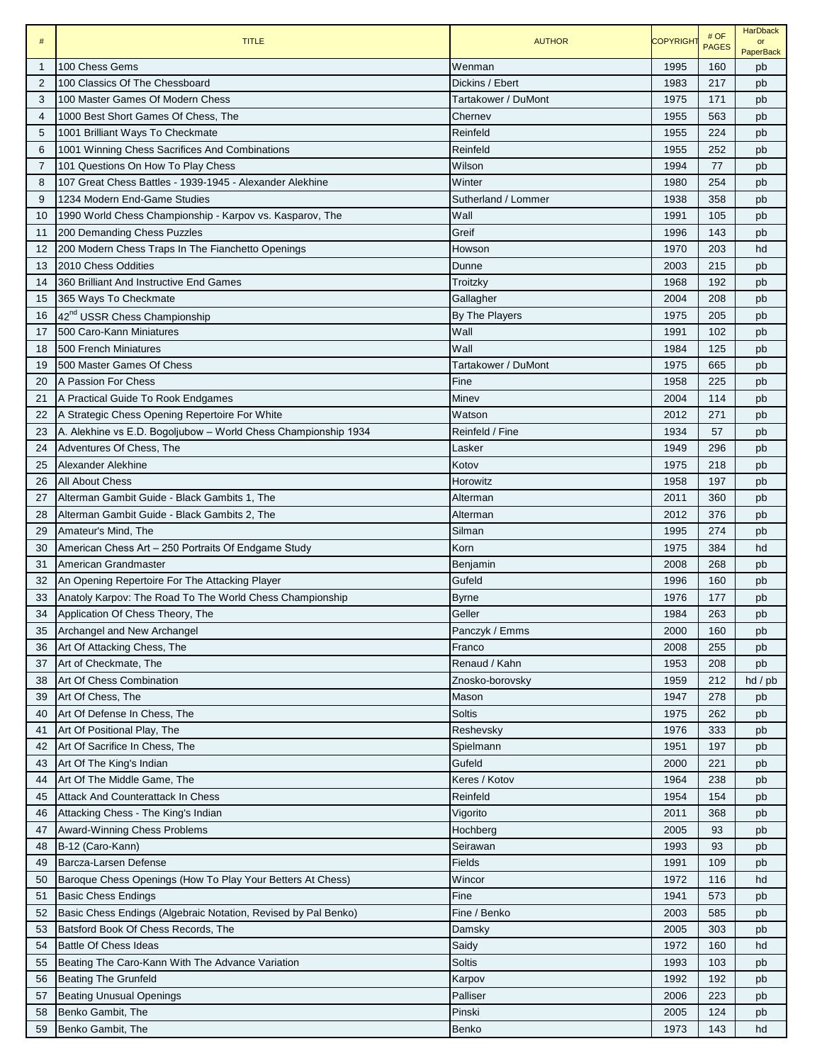| $\#$           | <b>TITLE</b>                                                   | <b>AUTHOR</b>       | <b>COPYRIGHT</b> | # OF<br><b>PAGES</b> | <b>HarDback</b><br>$\alpha$ r<br><b>PaperBack</b> |
|----------------|----------------------------------------------------------------|---------------------|------------------|----------------------|---------------------------------------------------|
| $\mathbf{1}$   | 100 Chess Gems                                                 | Wenman              | 1995             | 160                  | pb                                                |
| $\overline{2}$ | 100 Classics Of The Chessboard                                 | Dickins / Ebert     | 1983             | 217                  | pb                                                |
| 3              | 100 Master Games Of Modern Chess                               | Tartakower / DuMont | 1975             | 171                  | pb                                                |
| $\overline{4}$ | 1000 Best Short Games Of Chess. The                            | Chernev             | 1955             | 563                  | pb                                                |
| 5              | 1001 Brilliant Ways To Checkmate                               | Reinfeld            | 1955             | 224                  | pb                                                |
| 6              | 1001 Winning Chess Sacrifices And Combinations                 | Reinfeld            | 1955             | 252                  | pb                                                |
| $\overline{7}$ | 101 Questions On How To Play Chess                             | Wilson              | 1994             | 77                   | pb                                                |
| 8              | 107 Great Chess Battles - 1939-1945 - Alexander Alekhine       | Winter              | 1980             | 254                  | pb                                                |
| 9              | 1234 Modern End-Game Studies                                   | Sutherland / Lommer | 1938             | 358                  | pb                                                |
| 10             | 1990 World Chess Championship - Karpov vs. Kasparov, The       | Wall                | 1991             | 105                  | pb                                                |
| 11             | 200 Demanding Chess Puzzles                                    | Greif               | 1996             | 143                  | pb                                                |
| 12             | 200 Modern Chess Traps In The Fianchetto Openings              | Howson              | 1970             | 203                  | hd                                                |
| 13             | 2010 Chess Oddities                                            | Dunne               | 2003             | 215                  | pb                                                |
| 14             | 360 Brilliant And Instructive End Games                        | Troitzky            | 1968             | 192                  | pb                                                |
| 15             | 365 Ways To Checkmate                                          | Gallagher           | 2004             | 208                  | pb                                                |
| 16             | 42 <sup>nd</sup> USSR Chess Championship                       | By The Players      | 1975             | 205                  | pb                                                |
| 17             | 500 Caro-Kann Miniatures                                       | Wall                | 1991             | 102                  | pb                                                |
| 18             | 500 French Miniatures                                          | Wall                | 1984             | 125                  | pb                                                |
| 19             | 500 Master Games Of Chess                                      | Tartakower / DuMont | 1975             | 665                  | pb                                                |
| 20             | A Passion For Chess                                            | Fine                | 1958             | 225                  | pb                                                |
| 21             | A Practical Guide To Rook Endgames                             | Minev               | 2004             | 114                  | pb                                                |
| 22             | A Strategic Chess Opening Repertoire For White                 | Watson              | 2012             | 271                  | pb                                                |
| 23             | A. Alekhine vs E.D. Bogoljubow - World Chess Championship 1934 | Reinfeld / Fine     | 1934             | 57                   | pb                                                |
| 24             | Adventures Of Chess, The                                       | Lasker              | 1949             | 296                  | pb                                                |
| 25             | Alexander Alekhine                                             | Kotov               | 1975             | 218                  | pb                                                |
| 26             | <b>All About Chess</b>                                         | Horowitz            | 1958             | 197                  | pb                                                |
| 27             | Alterman Gambit Guide - Black Gambits 1, The                   | Alterman            | 2011             | 360                  | pb                                                |
| 28             | Alterman Gambit Guide - Black Gambits 2, The                   | Alterman            | 2012             | 376                  | pb                                                |
| 29             | Amateur's Mind, The                                            | Silman              | 1995             | 274                  | pb                                                |
| 30             | American Chess Art - 250 Portraits Of Endgame Study            | Korn                | 1975             | 384                  | hd                                                |
| 31             | American Grandmaster                                           | Benjamin            | 2008             | 268                  | pb                                                |
| 32             | An Opening Repertoire For The Attacking Player                 | Gufeld              | 1996             | 160                  | pb                                                |
| 33             | Anatoly Karpov: The Road To The World Chess Championship       | <b>Byrne</b>        | 1976             | 177                  | pb                                                |
| 34             | Application Of Chess Theory, The                               | Geller              | 1984             | 263                  | pb                                                |
| 35             | Archangel and New Archangel                                    | Panczyk / Emms      | 2000             | 160                  | pb                                                |
| 36             | Art Of Attacking Chess, The                                    | Franco              | 2008             | 255                  | pb                                                |
| 37             | Art of Checkmate, The                                          | Renaud / Kahn       | 1953             | 208                  | pb                                                |
| 38             | Art Of Chess Combination                                       | Znosko-borovsky     | 1959             | 212                  | $hd$ / $pb$                                       |
| 39             | Art Of Chess, The                                              | Mason               | 1947             | 278                  | pb                                                |
| 40             | Art Of Defense In Chess, The                                   | <b>Soltis</b>       | 1975             | 262                  | pb                                                |
| 41             | Art Of Positional Play, The                                    | Reshevsky           | 1976             | 333                  | pb                                                |
| 42             | Art Of Sacrifice In Chess, The                                 | Spielmann           | 1951             | 197                  | pb                                                |
| 43             | Art Of The King's Indian                                       | Gufeld              | 2000             | 221                  | pb                                                |
| 44             | Art Of The Middle Game, The                                    | Keres / Kotov       | 1964             | 238                  | pb                                                |
| 45             | <b>Attack And Counterattack In Chess</b>                       | Reinfeld            | 1954             | 154                  | pb                                                |
| 46             | Attacking Chess - The King's Indian                            | Vigorito            | 2011             | 368                  | pb                                                |
| 47             | Award-Winning Chess Problems                                   | Hochberg            | 2005             | 93                   | pb                                                |
| 48             | B-12 (Caro-Kann)                                               | Seirawan            | 1993             | 93                   | pb                                                |
| 49             | Barcza-Larsen Defense                                          | Fields              | 1991             | 109                  | pb                                                |
| 50             | Baroque Chess Openings (How To Play Your Betters At Chess)     | Wincor              | 1972             | 116                  | hd                                                |
| 51             | <b>Basic Chess Endings</b>                                     | Fine                | 1941             | 573                  | pb                                                |
| 52             | Basic Chess Endings (Algebraic Notation, Revised by Pal Benko) | Fine / Benko        | 2003             | 585                  | pb                                                |
| 53             | Batsford Book Of Chess Records, The                            | Damsky              | 2005             | 303                  | pb                                                |
| 54             | Battle Of Chess Ideas                                          | Saidy               | 1972             | 160                  | hd                                                |
| 55             | Beating The Caro-Kann With The Advance Variation               | <b>Soltis</b>       | 1993             | 103                  | pb                                                |
| 56             | <b>Beating The Grunfeld</b>                                    | Karpov              | 1992             | 192                  | pb                                                |
| 57             | <b>Beating Unusual Openings</b>                                | Palliser            | 2006             | 223                  | pb                                                |
| 58             | Benko Gambit, The                                              | Pinski              | 2005             | 124                  | pb                                                |
| 59             | Benko Gambit, The                                              | Benko               | 1973             | 143                  | hd                                                |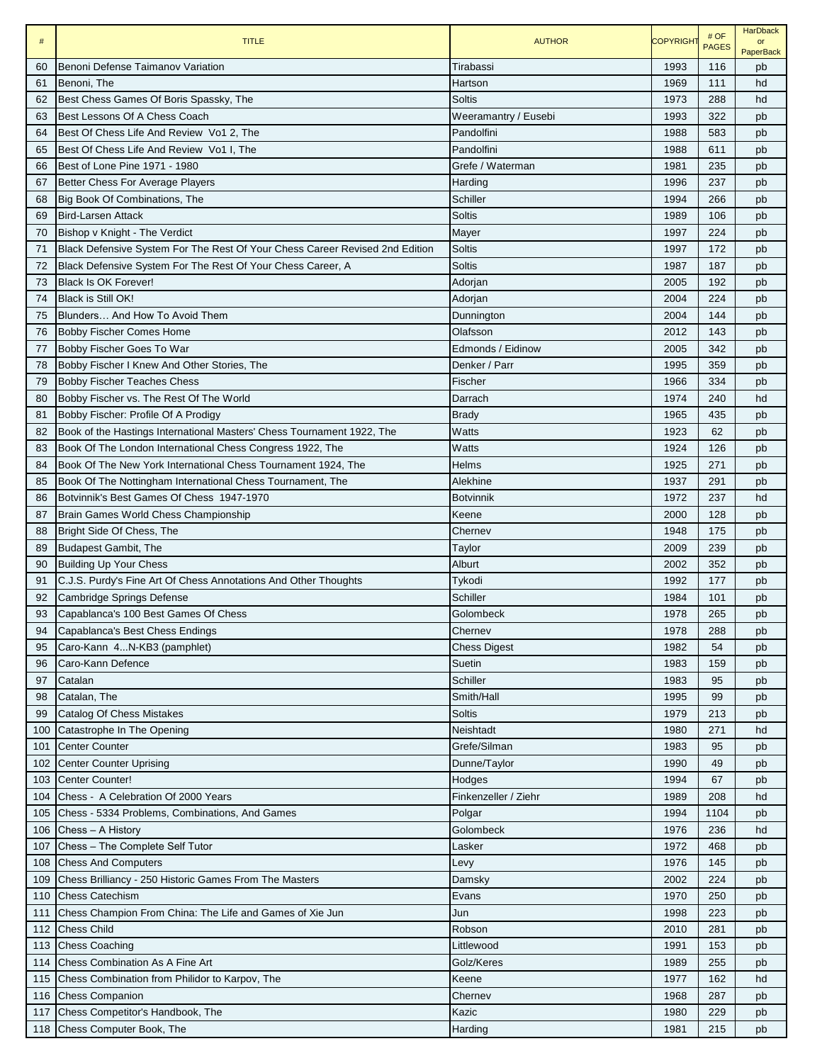| $\#$ | <b>TITLE</b>                                                                 | <b>AUTHOR</b>        | <b>COPYRIGHT</b> | # OF<br><b>PAGES</b> | <b>HarDback</b><br>or<br><b>PaperBack</b> |
|------|------------------------------------------------------------------------------|----------------------|------------------|----------------------|-------------------------------------------|
| 60   | Benoni Defense Taimanov Variation                                            | Tirabassi            | 1993             | 116                  | pb                                        |
| 61   | Benoni, The                                                                  | Hartson              | 1969             | 111                  | hd                                        |
| 62   | Best Chess Games Of Boris Spassky, The                                       | Soltis               | 1973             | 288                  | hd                                        |
| 63   | Best Lessons Of A Chess Coach                                                | Weeramantry / Eusebi | 1993             | 322                  | pb                                        |
| 64   | Best Of Chess Life And Review Vo1 2, The                                     | Pandolfini           | 1988             | 583                  | pb                                        |
| 65   | Best Of Chess Life And Review Vo1 I, The                                     | Pandolfini           | 1988             | 611                  | pb                                        |
| 66   | Best of Lone Pine 1971 - 1980                                                | Grefe / Waterman     | 1981             | 235                  | pb                                        |
| 67   | Better Chess For Average Players                                             | Harding              | 1996             | 237                  | pb                                        |
| 68   | Big Book Of Combinations, The                                                | Schiller             | 1994             | 266                  | pb                                        |
| 69   | <b>Bird-Larsen Attack</b>                                                    | Soltis               | 1989             | 106                  | pb                                        |
| 70   | Bishop v Knight - The Verdict                                                | Mayer                | 1997             | 224                  | pb                                        |
| 71   | Black Defensive System For The Rest Of Your Chess Career Revised 2nd Edition | <b>Soltis</b>        | 1997             | 172                  | pb                                        |
| 72   | Black Defensive System For The Rest Of Your Chess Career, A                  | <b>Soltis</b>        | 1987             | 187                  | pb                                        |
| 73   | <b>Black Is OK Forever!</b>                                                  | Adorjan              | 2005             | 192                  | pb                                        |
| 74   | <b>Black is Still OK!</b>                                                    | Adorjan              | 2004             | 224                  | pb                                        |
| 75   | Blunders And How To Avoid Them                                               | Dunnington           | 2004             | 144                  | pb                                        |
| 76   | <b>Bobby Fischer Comes Home</b>                                              | Olafsson             | 2012             | 143                  | pb                                        |
| 77   | Bobby Fischer Goes To War                                                    | Edmonds / Eidinow    | 2005             | 342                  | pb                                        |
| 78   | Bobby Fischer I Knew And Other Stories, The                                  | Denker / Parr        | 1995             | 359                  | pb                                        |
| 79   | <b>Bobby Fischer Teaches Chess</b>                                           | Fischer              | 1966             | 334                  | pb                                        |
| 80   | Bobby Fischer vs. The Rest Of The World                                      | Darrach              | 1974             | 240                  | hd                                        |
| 81   | Bobby Fischer: Profile Of A Prodigy                                          | <b>Brady</b>         | 1965             | 435                  | pb                                        |
| 82   | Book of the Hastings International Masters' Chess Tournament 1922, The       | Watts                | 1923             | 62                   | pb                                        |
| 83   | Book Of The London International Chess Congress 1922, The                    | Watts                | 1924             | 126                  | pb                                        |
| 84   | Book Of The New York International Chess Tournament 1924, The                | Helms                | 1925             | 271                  | pb                                        |
| 85   | Book Of The Nottingham International Chess Tournament, The                   | Alekhine             | 1937             | 291                  | pb                                        |
| 86   | Botvinnik's Best Games Of Chess 1947-1970                                    | <b>Botvinnik</b>     | 1972             | 237                  | hd                                        |
| 87   | Brain Games World Chess Championship                                         | Keene                | 2000             | 128                  | pb                                        |
| 88   | Bright Side Of Chess, The                                                    | Chernev              | 1948             | 175                  | pb                                        |
| 89   | <b>Budapest Gambit, The</b>                                                  | Taylor               | 2009             | 239                  | pb                                        |
| 90   | <b>Building Up Your Chess</b>                                                | Alburt               | 2002             | 352                  | pb                                        |
| 91   | C.J.S. Purdy's Fine Art Of Chess Annotations And Other Thoughts              | Tykodi               | 1992             | 177                  | pb                                        |
| 92   | Cambridge Springs Defense                                                    | Schiller             | 1984             | 101                  | pb                                        |
| 93   | Capablanca's 100 Best Games Of Chess                                         | Golombeck            | 1978             | 265                  | pb                                        |
| 94   | Capablanca's Best Chess Endings                                              | Chernev              | 1978             | 288                  | pb                                        |
| 95   | Caro-Kann 4N-KB3 (pamphlet)                                                  | <b>Chess Digest</b>  | 1982             | 54                   | pb                                        |
| 96   | Caro-Kann Defence                                                            | Suetin               | 1983             | 159                  | pb                                        |
| 97   | Catalan                                                                      | Schiller             | 1983             | 95                   | pb                                        |
| 98   | Catalan, The                                                                 | Smith/Hall           | 1995             | 99                   | pb                                        |
| 99   | Catalog Of Chess Mistakes                                                    | Soltis               | 1979             | 213                  | pb                                        |
| 100  | Catastrophe In The Opening                                                   | Neishtadt            | 1980             | 271                  | hd                                        |
| 101  | <b>Center Counter</b>                                                        | Grefe/Silman         | 1983             | 95                   | pb                                        |
| 102  | <b>Center Counter Uprising</b>                                               | Dunne/Taylor         | 1990             | 49                   | pb                                        |
| 103  | <b>Center Counter!</b>                                                       | Hodges               | 1994             | 67                   | pb                                        |
| 104  | Chess - A Celebration Of 2000 Years                                          | Finkenzeller / Ziehr | 1989             | 208                  | hd                                        |
| 105  | Chess - 5334 Problems, Combinations, And Games                               | Polgar               | 1994             | 1104                 | pb                                        |
| 106  | Chess - A History                                                            | Golombeck            | 1976             | 236                  | hd                                        |
| 107  | Chess - The Complete Self Tutor                                              | Lasker               | 1972             | 468                  | pb                                        |
| 108  | <b>Chess And Computers</b>                                                   |                      | 1976             | 145                  |                                           |
| 109  | Chess Brilliancy - 250 Historic Games From The Masters                       | Levy<br>Damsky       | 2002             | 224                  | pb<br>pb                                  |
| 110  | <b>Chess Catechism</b>                                                       | Evans                | 1970             | 250                  | pb                                        |
| 111  | Chess Champion From China: The Life and Games of Xie Jun                     |                      | 1998             | 223                  |                                           |
|      | <b>Chess Child</b>                                                           | Jun<br>Robson        | 2010             | 281                  | pb                                        |
| 112  |                                                                              |                      |                  |                      | pb                                        |
| 113  | <b>Chess Coaching</b>                                                        | Littlewood           | 1991             | 153                  | pb                                        |
| 114  | Chess Combination As A Fine Art                                              | Golz/Keres           | 1989             | 255                  | pb                                        |
| 115  | Chess Combination from Philidor to Karpov, The                               | Keene                | 1977             | 162                  | hd                                        |
|      | 116 Chess Companion                                                          | Chernev              | 1968             | 287                  | pb                                        |
|      | 117 Chess Competitor's Handbook, The                                         | Kazic                | 1980             | 229                  | pb                                        |
|      | 118 Chess Computer Book, The                                                 | Harding              | 1981             | 215                  | pb                                        |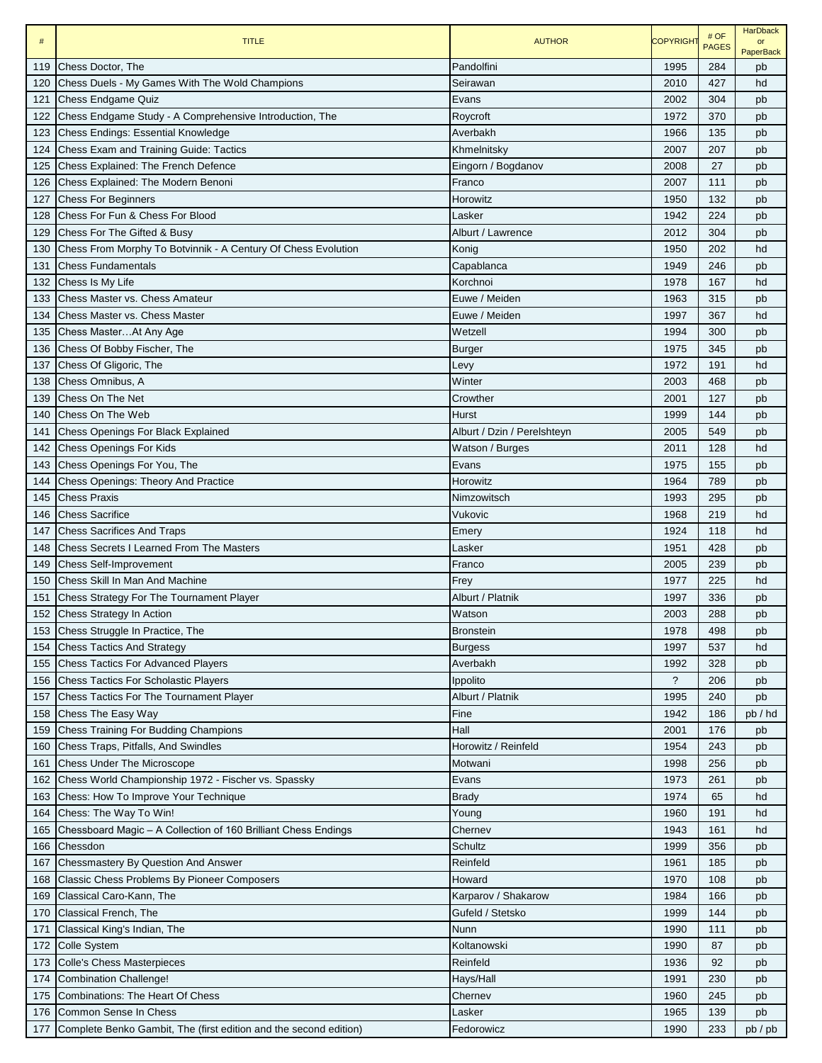| $\#$ | <b>TITLE</b>                                                      | <b>AUTHOR</b>               | <b>COPYRIGHT</b>   | # OF<br><b>PAGES</b> | <b>HarDback</b><br>or<br><b>PaperBack</b> |
|------|-------------------------------------------------------------------|-----------------------------|--------------------|----------------------|-------------------------------------------|
| 119  | Chess Doctor, The                                                 | Pandolfini                  | 1995               | 284                  | pb                                        |
| 120  | Chess Duels - My Games With The Wold Champions                    | Seirawan                    | 2010               | 427                  | hd                                        |
| 121  | <b>Chess Endgame Quiz</b>                                         | Evans                       | 2002               | 304                  | pb                                        |
| 122  | Chess Endgame Study - A Comprehensive Introduction, The           | Roycroft                    | 1972               | 370                  | pb                                        |
| 123  | <b>Chess Endings: Essential Knowledge</b>                         | Averbakh                    | 1966               | 135                  | pb                                        |
| 124  | <b>Chess Exam and Training Guide: Tactics</b>                     | Khmelnitsky                 | 2007               | 207                  | pb                                        |
| 125  | <b>Chess Explained: The French Defence</b>                        | Eingorn / Bogdanov          | 2008               | 27                   | pb                                        |
| 126  | Chess Explained: The Modern Benoni                                | Franco                      | 2007               | 111                  | pb                                        |
| 127  | <b>Chess For Beginners</b>                                        | Horowitz                    | 1950               | 132                  | pb                                        |
| 128  | Chess For Fun & Chess For Blood                                   | Lasker                      | 1942               | 224                  | pb                                        |
| 129  | Chess For The Gifted & Busy                                       | Alburt / Lawrence           | 2012               | 304                  | pb                                        |
| 130  | Chess From Morphy To Botvinnik - A Century Of Chess Evolution     | Konig                       | 1950               | 202                  | hd                                        |
| 131  | <b>Chess Fundamentals</b>                                         | Capablanca                  | 1949               | 246                  | pb                                        |
| 132  | Chess Is My Life                                                  | Korchnoi                    | 1978               | 167                  | hd                                        |
| 133  | Chess Master vs. Chess Amateur                                    | Euwe / Meiden               | 1963               | 315                  | pb                                        |
| 134  | Chess Master vs. Chess Master                                     | Euwe / Meiden               | 1997               | 367                  | hd                                        |
| 135  | Chess Master At Any Age                                           | Wetzell                     | 1994               | 300                  | pb                                        |
| 136  | Chess Of Bobby Fischer, The                                       | Burger                      | 1975               | 345                  | pb                                        |
| 137  | Chess Of Gligoric, The                                            | Levy                        | 1972               | 191                  | hd                                        |
| 138  | Chess Omnibus, A                                                  | Winter                      | 2003               | 468                  | pb                                        |
| 139  | Chess On The Net                                                  | Crowther                    | 2001               | 127                  | pb                                        |
| 140  | Chess On The Web                                                  | Hurst                       | 1999               | 144                  | pb                                        |
| 141  | <b>Chess Openings For Black Explained</b>                         | Alburt / Dzin / Perelshteyn | 2005               | 549                  | pb                                        |
| 142  | <b>Chess Openings For Kids</b>                                    | Watson / Burges             | 2011               | 128                  | hd                                        |
| 143  | Chess Openings For You, The                                       | Evans                       | 1975               | 155                  | pb                                        |
| 144  | Chess Openings: Theory And Practice                               | Horowitz                    | 1964               | 789                  | pb                                        |
| 145  | <b>Chess Praxis</b>                                               | Nimzowitsch                 | 1993               | 295                  | pb                                        |
| 146  | <b>Chess Sacrifice</b>                                            | Vukovic                     | 1968               | 219                  | hd                                        |
| 147  | <b>Chess Sacrifices And Traps</b>                                 | Emery                       | 1924               | 118                  | hd                                        |
| 148  | <b>Chess Secrets I Learned From The Masters</b>                   | Lasker                      | 1951               | 428                  | pb                                        |
| 149  | <b>Chess Self-Improvement</b>                                     | Franco                      | 2005               | 239                  | pb                                        |
| 150  | Chess Skill In Man And Machine                                    | Frey                        | 1977               | 225                  | hd                                        |
| 151  | Chess Strategy For The Tournament Player                          | Alburt / Platnik            | 1997               | 336                  | pb                                        |
| 152  | <b>Chess Strategy In Action</b>                                   | Watson                      | 2003               | 288                  | pb                                        |
| 153  | Chess Struggle In Practice, The                                   | <b>Bronstein</b>            | 1978               | 498                  | pb                                        |
| 154  | <b>Chess Tactics And Strategy</b>                                 | <b>Burgess</b>              | 1997               | 537                  | hd                                        |
| 155  | <b>Chess Tactics For Advanced Players</b>                         | Averbakh                    | 1992               | 328                  | pb                                        |
| 156  | <b>Chess Tactics For Scholastic Players</b>                       | Ippolito                    | $\overline{\cdot}$ | 206                  | pb                                        |
| 157  | Chess Tactics For The Tournament Player                           | Alburt / Platnik            | 1995               | 240                  | pb                                        |
| 158  | Chess The Easy Way                                                | Fine                        | 1942               | 186                  | pb / hd                                   |
| 159  | Chess Training For Budding Champions                              | Hall                        | 2001               | 176                  | pb                                        |
| 160  | Chess Traps, Pitfalls, And Swindles                               | Horowitz / Reinfeld         | 1954               | 243                  | pb                                        |
| 161  | <b>Chess Under The Microscope</b>                                 | Motwani                     | 1998               | 256                  | pb                                        |
| 162  | Chess World Championship 1972 - Fischer vs. Spassky               | Evans                       | 1973               | 261                  | pb                                        |
| 163  | Chess: How To Improve Your Technique                              | <b>Brady</b>                | 1974               | 65                   | hd                                        |
| 164  | Chess: The Way To Win!                                            | Young                       | 1960               | 191                  | hd                                        |
| 165  | Chessboard Magic - A Collection of 160 Brilliant Chess Endings    | Chernev                     | 1943               | 161                  | hd                                        |
| 166  | Chessdon                                                          | Schultz                     | 1999               | 356                  | pb                                        |
| 167  | Chessmastery By Question And Answer                               | Reinfeld                    | 1961               | 185                  | pb                                        |
| 168  | Classic Chess Problems By Pioneer Composers                       | Howard                      | 1970               | 108                  | pb                                        |
| 169  | Classical Caro-Kann, The                                          | Karparov / Shakarow         | 1984               | 166                  | pb                                        |
| 170  | Classical French, The                                             | Gufeld / Stetsko            | 1999               | 144                  | pb                                        |
| 171  | Classical King's Indian, The                                      | Nunn                        | 1990               | 111                  | pb                                        |
| 172  | <b>Colle System</b>                                               | Koltanowski                 | 1990               | 87                   | pb                                        |
| 173  | <b>Colle's Chess Masterpieces</b>                                 | Reinfeld                    | 1936               | 92                   | pb                                        |
| 174  | <b>Combination Challenge!</b>                                     | Hays/Hall                   | 1991               | 230                  | pb                                        |
| 175  | Combinations: The Heart Of Chess                                  | Chernev                     | 1960               | 245                  | pb                                        |
| 176  | Common Sense In Chess                                             | Lasker                      | 1965               | 139                  | pb                                        |
| 177  | Complete Benko Gambit, The (first edition and the second edition) | Fedorowicz                  | 1990               | 233                  | pb / pb                                   |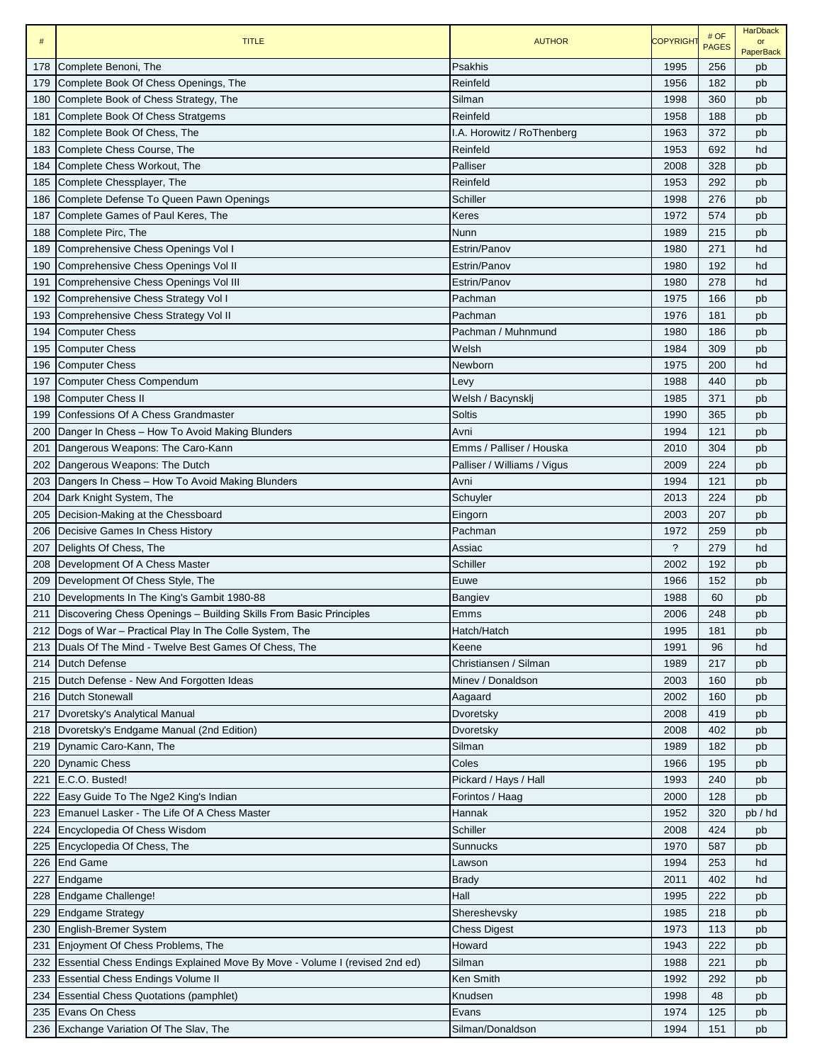| $\#$ | <b>TITLE</b>                                                               | <b>AUTHOR</b>               | <b>COPYRIGHT</b>         | # OF<br><b>PAGES</b> | <b>HarDback</b><br>$\alpha$ r<br><b>PaperBack</b> |
|------|----------------------------------------------------------------------------|-----------------------------|--------------------------|----------------------|---------------------------------------------------|
| 178  | Complete Benoni, The                                                       | Psakhis                     | 1995                     | 256                  | pb                                                |
| 179  | Complete Book Of Chess Openings, The                                       | Reinfeld                    | 1956                     | 182                  | pb                                                |
| 180  | Complete Book of Chess Strategy, The                                       | Silman                      | 1998                     | 360                  | pb                                                |
| 181  | Complete Book Of Chess Stratgems                                           | Reinfeld                    | 1958                     | 188                  | pb                                                |
| 182  | Complete Book Of Chess, The                                                | I.A. Horowitz / RoThenberg  | 1963                     | 372                  | pb                                                |
| 183  | Complete Chess Course, The                                                 | Reinfeld                    | 1953                     | 692                  | hd                                                |
| 184  | Complete Chess Workout, The                                                | Palliser                    | 2008                     | 328                  | pb                                                |
| 185  | Complete Chessplayer, The                                                  | Reinfeld                    | 1953                     | 292                  | pb                                                |
| 186  | Complete Defense To Queen Pawn Openings                                    | Schiller                    | 1998                     | 276                  | pb                                                |
| 187  | Complete Games of Paul Keres, The                                          | Keres                       | 1972                     | 574                  | pb                                                |
| 188  | Complete Pirc, The                                                         | Nunn                        | 1989                     | 215                  | pb                                                |
| 189  | Comprehensive Chess Openings Vol I                                         | Estrin/Panov                | 1980                     | 271                  | hd                                                |
| 190  | Comprehensive Chess Openings Vol II                                        | Estrin/Panov                | 1980                     | 192                  | hd                                                |
| 191  | Comprehensive Chess Openings Vol III                                       | Estrin/Panov                | 1980                     | 278                  | hd                                                |
| 192  | Comprehensive Chess Strategy Vol I                                         | Pachman                     | 1975                     | 166                  | pb                                                |
| 193  | Comprehensive Chess Strategy Vol II                                        | Pachman                     | 1976                     | 181                  | pb                                                |
| 194  | <b>Computer Chess</b>                                                      | Pachman / Muhnmund          | 1980                     | 186                  | pb                                                |
| 195  | <b>Computer Chess</b>                                                      | Welsh                       | 1984                     | 309                  | pb                                                |
| 196  | <b>Computer Chess</b>                                                      | Newborn                     | 1975                     | 200                  | hd                                                |
| 197  | <b>Computer Chess Compendum</b>                                            | Levy                        | 1988                     | 440                  | pb                                                |
| 198  | <b>Computer Chess II</b>                                                   | Welsh / Bacynsklj           | 1985                     | 371                  | pb                                                |
| 199  | Confessions Of A Chess Grandmaster                                         | <b>Soltis</b>               | 1990                     | 365                  | pb                                                |
| 200  | Danger In Chess - How To Avoid Making Blunders                             | Avni                        | 1994                     | 121                  | pb                                                |
| 201  | Dangerous Weapons: The Caro-Kann                                           | Emms / Palliser / Houska    | 2010                     | 304                  | pb                                                |
| 202  | Dangerous Weapons: The Dutch                                               | Palliser / Williams / Vigus | 2009                     | 224                  | pb                                                |
| 203  | Dangers In Chess - How To Avoid Making Blunders                            | Avni                        | 1994                     | 121                  | pb                                                |
| 204  | Dark Knight System, The                                                    | Schuyler                    | 2013                     | 224                  | pb                                                |
| 205  | Decision-Making at the Chessboard                                          | Eingorn                     | 2003                     | 207                  | pb                                                |
| 206  | Decisive Games In Chess History                                            | Pachman                     | 1972                     | 259                  | pb                                                |
| 207  | Delights Of Chess, The                                                     | Assiac                      | $\overline{\phantom{0}}$ | 279                  | hd                                                |
| 208  | Development Of A Chess Master                                              | Schiller                    | 2002                     | 192                  | pb                                                |
| 209  | Development Of Chess Style, The                                            | Euwe                        | 1966                     | 152                  | pb                                                |
| 210  | Developments In The King's Gambit 1980-88                                  | Bangiev                     | 1988                     | 60                   | pb                                                |
| 211  | Discovering Chess Openings - Building Skills From Basic Principles         | Emms                        | 2006                     | 248                  | pb                                                |
| 212  | Dogs of War - Practical Play In The Colle System, The                      | Hatch/Hatch                 | 1995                     | 181                  | pb                                                |
| 213  | Duals Of The Mind - Twelve Best Games Of Chess, The                        | Keene                       | 1991                     | 96                   | hd                                                |
| 214  | <b>Dutch Defense</b>                                                       | Christiansen / Silman       | 1989                     | 217                  | pb                                                |
| 215  | Dutch Defense - New And Forgotten Ideas                                    | Miney / Donaldson           | 2003                     | 160                  | pb                                                |
| 216  | Dutch Stonewall                                                            | Aagaard                     | 2002                     | 160                  | pb                                                |
| 217  | Dvoretsky's Analytical Manual                                              | Dvoretsky                   | 2008                     | 419                  | pb                                                |
| 218  | Dvoretsky's Endgame Manual (2nd Edition)                                   | Dvoretsky                   | 2008                     | 402                  | pb                                                |
| 219  | Dynamic Caro-Kann, The                                                     | Silman                      | 1989                     | 182                  | pb                                                |
| 220  | <b>Dynamic Chess</b>                                                       | Coles                       | 1966                     | 195                  | pb                                                |
| 221  | E.C.O. Busted!                                                             | Pickard / Hays / Hall       | 1993                     | 240                  | pb                                                |
| 222  | Easy Guide To The Nge2 King's Indian                                       | Forintos / Haag             | 2000                     | 128                  | pb                                                |
| 223  | Emanuel Lasker - The Life Of A Chess Master                                | Hannak                      | 1952                     | 320                  | pb / hd                                           |
| 224  | Encyclopedia Of Chess Wisdom                                               | Schiller                    | 2008                     | 424                  | pb                                                |
| 225  | Encyclopedia Of Chess, The                                                 | Sunnucks                    | 1970                     | 587                  | pb                                                |
| 226  | <b>End Game</b>                                                            | Lawson                      | 1994                     | 253                  | hd                                                |
| 227  | Endgame                                                                    | <b>Brady</b>                | 2011                     | 402                  | hd                                                |
| 228  | Endgame Challenge!                                                         | Hall                        | 1995                     | 222                  | pb                                                |
| 229  | <b>Endgame Strategy</b>                                                    | Shereshevsky                | 1985                     | 218                  | pb                                                |
| 230  | English-Bremer System                                                      | Chess Digest                | 1973                     | 113                  | pb                                                |
| 231  | Enjoyment Of Chess Problems, The                                           | Howard                      | 1943                     | 222                  | pb                                                |
| 232  | Essential Chess Endings Explained Move By Move - Volume I (revised 2nd ed) | Silman                      | 1988                     | 221                  | pb                                                |
| 233  | <b>Essential Chess Endings Volume II</b>                                   | <b>Ken Smith</b>            | 1992                     | 292                  | pb                                                |
| 234  | <b>Essential Chess Quotations (pamphlet)</b>                               | Knudsen                     | 1998                     | 48                   | pb                                                |
| 235  | Evans On Chess                                                             | Evans                       | 1974                     | 125                  | pb                                                |
| 236  | Exchange Variation Of The Slav, The                                        | Silman/Donaldson            | 1994                     | 151                  | pb                                                |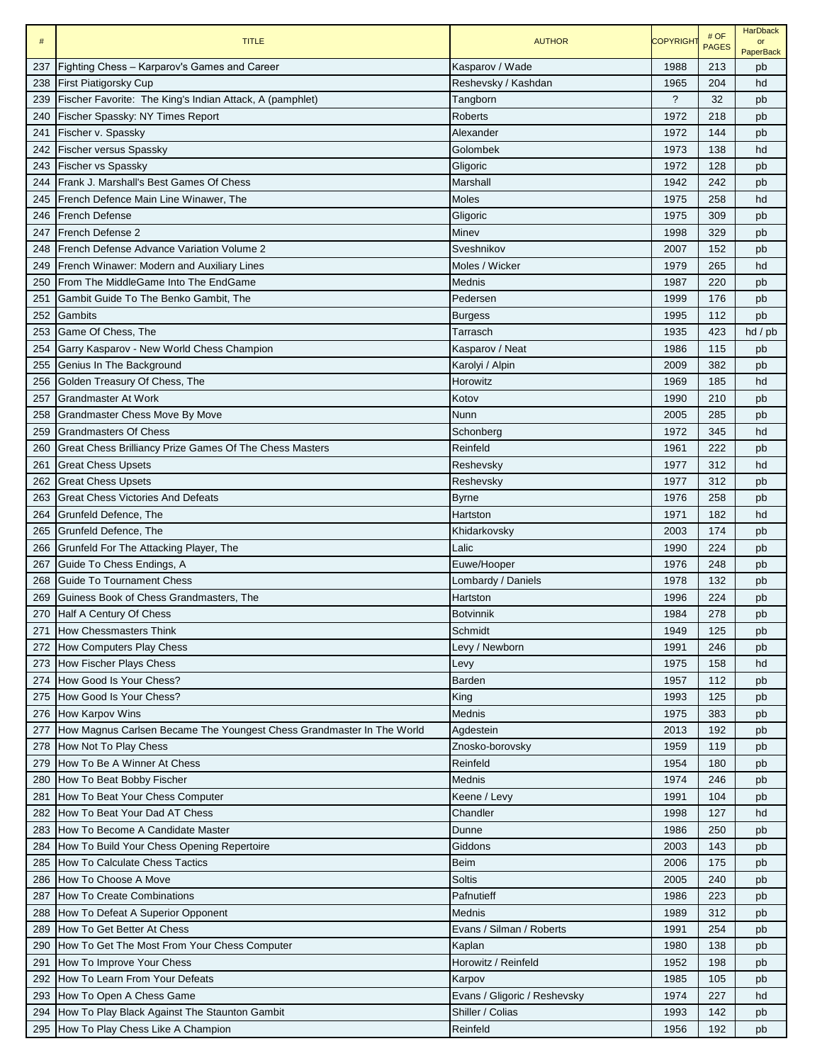| $\#$ | <b>TITLE</b>                                                          | <b>AUTHOR</b>                | <b>COPYRIGHT</b>         | # OF<br><b>PAGES</b> | <b>HarDback</b><br>or<br><b>PaperBack</b> |
|------|-----------------------------------------------------------------------|------------------------------|--------------------------|----------------------|-------------------------------------------|
| 237  | Fighting Chess - Karparov's Games and Career                          | Kasparov / Wade              | 1988                     | 213                  | pb                                        |
| 238  | <b>First Piatigorsky Cup</b>                                          | Reshevsky / Kashdan          | 1965                     | 204                  | hd                                        |
| 239  | Fischer Favorite: The King's Indian Attack, A (pamphlet)              | Tangborn                     | $\overline{\phantom{0}}$ | 32                   | pb                                        |
| 240  | Fischer Spassky: NY Times Report                                      | <b>Roberts</b>               | 1972                     | 218                  | pb                                        |
| 241  | Fischer v. Spassky                                                    | Alexander                    | 1972                     | 144                  | pb                                        |
| 242  | <b>Fischer versus Spassky</b>                                         | Golombek                     | 1973                     | 138                  | hd                                        |
|      | 243 Fischer vs Spassky                                                | Gligoric                     | 1972                     | 128                  | pb                                        |
|      | 244 Frank J. Marshall's Best Games Of Chess                           | Marshall                     | 1942                     | 242                  | pb                                        |
| 245  | French Defence Main Line Winawer, The                                 | Moles                        | 1975                     | 258                  | hd                                        |
|      | 246 French Defense                                                    | Gligoric                     | 1975                     | 309                  | pb                                        |
| 247  | <b>French Defense 2</b>                                               | Minev                        | 1998                     | 329                  | pb                                        |
| 248  | French Defense Advance Variation Volume 2                             | Sveshnikov                   | 2007                     | 152                  | pb                                        |
| 249  | French Winawer: Modern and Auxiliary Lines                            | Moles / Wicker               | 1979                     | 265                  | hd                                        |
| 250  | IFrom The MiddleGame Into The EndGame                                 | Mednis                       | 1987                     | 220                  | pb                                        |
| 251  | Gambit Guide To The Benko Gambit, The                                 | Pedersen                     | 1999                     | 176                  | pb                                        |
| 252  | Gambits                                                               | Burgess                      | 1995                     | 112                  | pb                                        |
| 253  | Game Of Chess, The                                                    | Tarrasch                     | 1935                     | 423                  | $hd$ / $pb$                               |
| 254  | Garry Kasparov - New World Chess Champion                             | Kasparov / Neat              | 1986                     | 115                  | pb                                        |
| 255  | Genius In The Background                                              | Karolyi / Alpin              | 2009                     | 382                  | pb                                        |
| 256  | Golden Treasury Of Chess, The                                         | Horowitz                     | 1969                     | 185                  | hd                                        |
| 257  | <b>Grandmaster At Work</b>                                            | Kotov                        | 1990                     | 210                  | pb                                        |
| 258  | Grandmaster Chess Move By Move                                        | Nunn                         | 2005                     | 285                  | pb                                        |
| 259  | <b>Grandmasters Of Chess</b>                                          | Schonberg                    | 1972                     | 345                  | hd                                        |
| 260  | Great Chess Brilliancy Prize Games Of The Chess Masters               | Reinfeld                     | 1961                     | 222                  | pb                                        |
| 261  | <b>Great Chess Upsets</b>                                             | Reshevsky                    | 1977                     | 312                  | hd                                        |
| 262  | <b>Great Chess Upsets</b>                                             | Reshevsky                    | 1977                     | 312                  | pb                                        |
| 263  | <b>Great Chess Victories And Defeats</b>                              | <b>Byrne</b>                 | 1976                     | 258                  | pb                                        |
| 264  | Grunfeld Defence, The                                                 | Hartston                     | 1971                     | 182                  | hd                                        |
| 265  | Grunfeld Defence, The                                                 | Khidarkovsky                 | 2003                     | 174                  | pb                                        |
| 266  | Grunfeld For The Attacking Player, The                                | Lalic                        | 1990                     | 224                  | pb                                        |
| 267  | Guide To Chess Endings, A                                             | Euwe/Hooper                  | 1976                     | 248                  | pb                                        |
| 268  | Guide To Tournament Chess                                             | Lombardy / Daniels           | 1978                     | 132                  | pb                                        |
| 269  | Guiness Book of Chess Grandmasters, The                               | Hartston                     | 1996                     | 224                  | pb                                        |
| 270  | Half A Century Of Chess                                               | <b>Botvinnik</b>             | 1984                     | 278                  | pb                                        |
| 271  | How Chessmasters Think                                                | Schmidt                      | 1949                     | 125                  | pb                                        |
| 272  | How Computers Play Chess                                              | Levy / Newborn               | 1991                     | 246                  | pb                                        |
| 273  | How Fischer Plays Chess                                               | Levy                         | 1975                     | 158                  | hd                                        |
| 274  | How Good Is Your Chess?                                               | <b>Barden</b>                | 1957                     | 112                  | pb                                        |
| 275  | How Good Is Your Chess?                                               | King                         | 1993                     | 125                  | pb                                        |
|      | 276 How Karpov Wins                                                   | Mednis                       | 1975                     | 383                  | pb                                        |
| 277  | How Magnus Carlsen Became The Youngest Chess Grandmaster In The World | Agdestein                    | 2013                     | 192                  | pb                                        |
| 278  | How Not To Play Chess                                                 | Znosko-borovsky              | 1959                     | 119                  | pb                                        |
| 279  | How To Be A Winner At Chess                                           | Reinfeld                     | 1954                     | 180                  | pb                                        |
|      | 280 How To Beat Bobby Fischer                                         | Mednis                       | 1974                     | 246                  | pb                                        |
| 281  | How To Beat Your Chess Computer                                       | Keene / Levy                 | 1991                     | 104                  | pb                                        |
| 282  | How To Beat Your Dad AT Chess                                         | Chandler                     | 1998                     | 127                  | hd                                        |
| 283  | How To Become A Candidate Master                                      | Dunne                        | 1986                     | 250                  | pb                                        |
| 284  | How To Build Your Chess Opening Repertoire                            | Giddons                      | 2003                     | 143                  | pb                                        |
| 285  | How To Calculate Chess Tactics                                        | Beim                         | 2006                     | 175                  | pb                                        |
| 286  | How To Choose A Move                                                  | Soltis                       | 2005                     | 240                  | pb                                        |
| 287  | How To Create Combinations                                            | Pafnutieff                   | 1986                     | 223                  | pb                                        |
| 288  | How To Defeat A Superior Opponent                                     | Mednis                       | 1989                     | 312                  | pb                                        |
| 289  | How To Get Better At Chess                                            | Evans / Silman / Roberts     | 1991                     | 254                  | pb                                        |
| 290  | How To Get The Most From Your Chess Computer                          | Kaplan                       | 1980                     | 138                  | pb                                        |
| 291  | How To Improve Your Chess                                             | Horowitz / Reinfeld          | 1952                     | 198                  | pb                                        |
| 292  | How To Learn From Your Defeats                                        | Karpov                       | 1985                     | 105                  | pb                                        |
| 293  | How To Open A Chess Game                                              | Evans / Gligoric / Reshevsky | 1974                     | 227                  | hd                                        |
| 294  | How To Play Black Against The Staunton Gambit                         | Shiller / Colias             | 1993                     | 142                  | pb                                        |
| 295  | How To Play Chess Like A Champion                                     | Reinfeld                     | 1956                     | 192                  | pb                                        |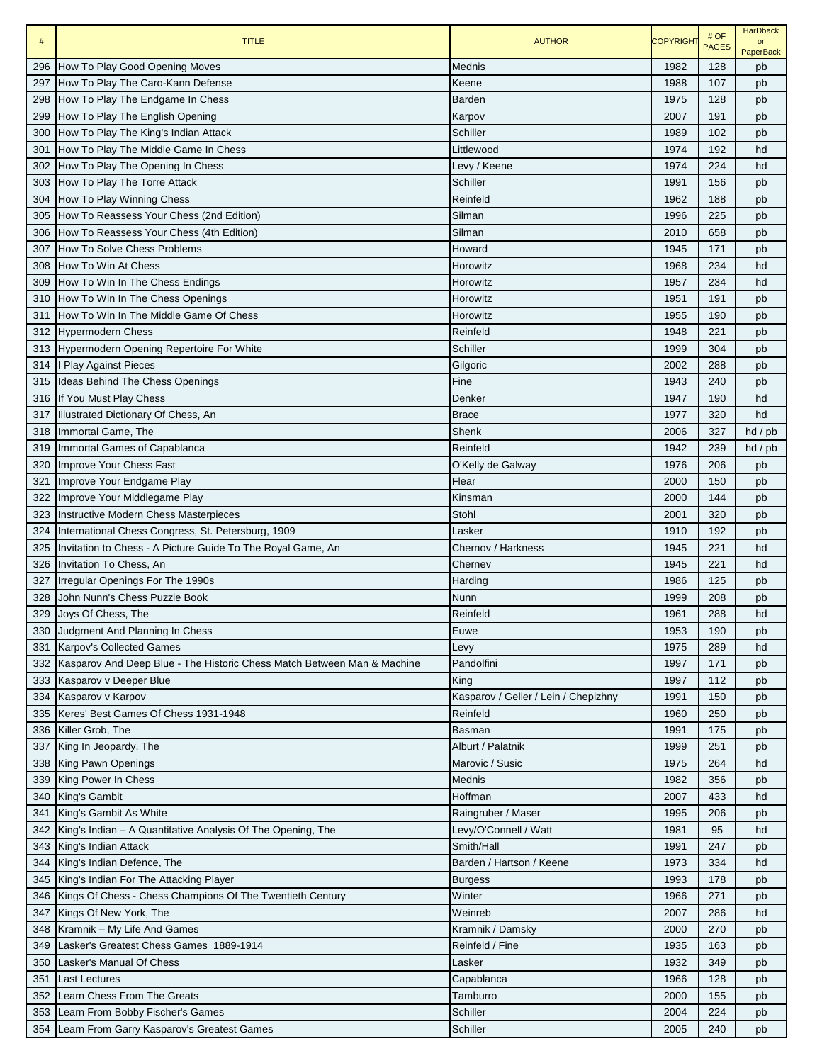| $\#$ | <b>TITLE</b>                                                            | <b>AUTHOR</b>                        | <b>COPYRIGHT</b> | # OF<br><b>PAGES</b> | <b>HarDback</b><br>or<br><b>PaperBack</b> |
|------|-------------------------------------------------------------------------|--------------------------------------|------------------|----------------------|-------------------------------------------|
| 296  | How To Play Good Opening Moves                                          | Mednis                               | 1982             | 128                  | pb                                        |
| 297  | How To Play The Caro-Kann Defense                                       | Keene                                | 1988             | 107                  | pb                                        |
| 298  | How To Play The Endgame In Chess                                        | <b>Barden</b>                        | 1975             | 128                  | pb                                        |
| 299  | How To Play The English Opening                                         | Karpov                               | 2007             | 191                  | pb                                        |
| 300  | How To Play The King's Indian Attack                                    | Schiller                             | 1989             | 102                  | pb                                        |
| 301  | How To Play The Middle Game In Chess                                    | Littlewood                           | 1974             | 192                  | hd                                        |
| 302  | How To Play The Opening In Chess                                        | Levy / Keene                         | 1974             | 224                  | hd                                        |
| 303  | How To Play The Torre Attack                                            | Schiller                             | 1991             | 156                  | pb                                        |
| 304  | How To Play Winning Chess                                               | Reinfeld                             | 1962             | 188                  | pb                                        |
| 305  | How To Reassess Your Chess (2nd Edition)                                | Silman                               | 1996             | 225                  | pb                                        |
| 306  | How To Reassess Your Chess (4th Edition)                                | Silman                               | 2010             | 658                  | pb                                        |
| 307  | How To Solve Chess Problems                                             | Howard                               | 1945             | 171                  | pb                                        |
| 308  | How To Win At Chess                                                     | Horowitz                             | 1968             | 234                  | hd                                        |
| 309  | How To Win In The Chess Endings                                         | Horowitz                             | 1957             | 234                  | hd                                        |
| 310  | How To Win In The Chess Openings                                        | Horowitz                             | 1951             | 191                  | pb                                        |
| 311  | How To Win In The Middle Game Of Chess                                  | Horowitz                             | 1955             | 190                  | pb                                        |
| 312  | <b>Hypermodern Chess</b>                                                | Reinfeld                             | 1948             | 221                  | pb                                        |
| 313  | Hypermodern Opening Repertoire For White                                | Schiller                             | 1999             | 304                  | pb                                        |
| 314  | I Play Against Pieces                                                   | Gilgoric                             | 2002             | 288                  | pb                                        |
| 315  | Ideas Behind The Chess Openings                                         | Fine                                 | 1943             | 240                  | pb                                        |
| 316  | If You Must Play Chess                                                  | Denker                               | 1947             | 190                  | hd                                        |
| 317  | Illustrated Dictionary Of Chess, An                                     | <b>Brace</b>                         | 1977             | 320                  | hd                                        |
| 318  | Immortal Game, The                                                      | Shenk                                | 2006             | 327                  | hd / pb                                   |
| 319  | Immortal Games of Capablanca                                            | Reinfeld                             | 1942             | 239                  | hd / pb                                   |
| 320  | Improve Your Chess Fast                                                 | O'Kelly de Galway                    | 1976             | 206                  | pb                                        |
| 321  | Improve Your Endgame Play                                               | Flear                                | 2000             | 150                  | pb                                        |
| 322  | Improve Your Middlegame Play                                            | Kinsman                              | 2000             | 144                  | pb                                        |
| 323  | Instructive Modern Chess Masterpieces                                   | Stohl                                | 2001             | 320                  | pb                                        |
| 324  | International Chess Congress, St. Petersburg, 1909                      | Lasker                               | 1910             | 192                  | pb                                        |
| 325  | Invitation to Chess - A Picture Guide To The Royal Game, An             | Chernov / Harkness                   | 1945             | 221                  | hd                                        |
| 326  | Invitation To Chess, An                                                 | Chernev                              | 1945             | 221                  | hd                                        |
| 327  | Irregular Openings For The 1990s                                        | Harding                              | 1986             | 125                  | pb                                        |
| 328  | John Nunn's Chess Puzzle Book                                           | Nunn                                 | 1999             | 208                  | pb                                        |
| 329  | Joys Of Chess, The                                                      | Reinfeld                             | 1961             | 288                  | hd                                        |
| 330  | Judgment And Planning In Chess                                          | Euwe                                 | 1953             | 190                  | pb                                        |
| 331  | <b>Karpov's Collected Games</b>                                         | Levy                                 | 1975             | 289                  | hd                                        |
| 332  | Kasparov And Deep Blue - The Historic Chess Match Between Man & Machine | Pandolfini                           | 1997             | 171                  | pb                                        |
| 333  | Kasparov v Deeper Blue                                                  | King                                 | 1997             | 112                  | pb                                        |
| 334  | Kasparov v Karpov                                                       | Kasparov / Geller / Lein / Chepizhny | 1991             | 150                  | pb                                        |
| 335  | Keres' Best Games Of Chess 1931-1948                                    | Reinfeld                             | 1960             | 250                  | pb                                        |
| 336  | Killer Grob, The                                                        | Basman                               | 1991             | 175                  | pb                                        |
| 337  | King In Jeopardy, The                                                   | Alburt / Palatnik                    | 1999             | 251                  | pb                                        |
| 338  | <b>King Pawn Openings</b>                                               | Marovic / Susic                      | 1975             | 264                  | hd                                        |
| 339  | King Power In Chess                                                     | Mednis                               | 1982             | 356                  | pb                                        |
| 340  | King's Gambit                                                           | Hoffman                              | 2007             | 433                  | hd                                        |
| 341  | King's Gambit As White                                                  | Raingruber / Maser                   | 1995             | 206                  | pb                                        |
| 342  | King's Indian - A Quantitative Analysis Of The Opening, The             | Levy/O'Connell / Watt                | 1981             | 95                   | hd                                        |
| 343  | King's Indian Attack                                                    | Smith/Hall                           | 1991             | 247                  | pb                                        |
| 344  | King's Indian Defence, The                                              | Barden / Hartson / Keene             | 1973             | 334                  | hd                                        |
| 345  | King's Indian For The Attacking Player                                  | <b>Burgess</b>                       | 1993             | 178                  | pb                                        |
| 346  | Kings Of Chess - Chess Champions Of The Twentieth Century               | Winter                               | 1966             | 271                  | pb                                        |
| 347  | Kings Of New York, The                                                  | Weinreb                              | 2007             | 286                  | hd                                        |
| 348  | Kramnik – My Life And Games                                             | Kramnik / Damsky                     | 2000             | 270                  | pb                                        |
| 349  | Lasker's Greatest Chess Games 1889-1914                                 | Reinfeld / Fine                      | 1935             | 163                  | pb                                        |
| 350  | Lasker's Manual Of Chess                                                | Lasker                               | 1932             | 349                  | pb                                        |
| 351  | <b>Last Lectures</b>                                                    | Capablanca                           | 1966             | 128                  | pb                                        |
| 352  | Learn Chess From The Greats                                             | Tamburro                             | 2000             | 155                  | pb                                        |
| 353  | Learn From Bobby Fischer's Games                                        | Schiller                             | 2004             | 224                  | pb                                        |
| 354  | Learn From Garry Kasparov's Greatest Games                              | Schiller                             | 2005             | 240                  | pb                                        |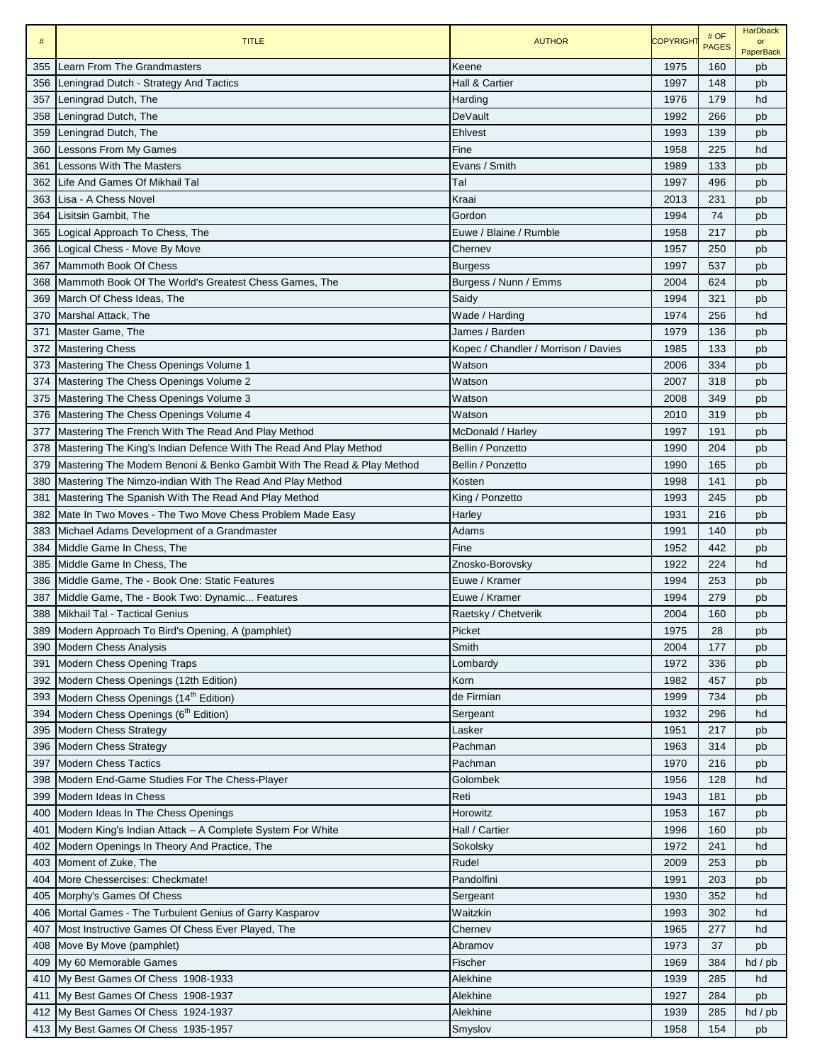| #          | <b>TITLE</b>                                                           | <b>AUTHOR</b>                        | <b>COPYRIGHT</b> | # OF<br><b>PAGES</b> | <b>HarDback</b><br>or<br><b>PaperBack</b> |
|------------|------------------------------------------------------------------------|--------------------------------------|------------------|----------------------|-------------------------------------------|
| 355        | Learn From The Grandmasters                                            | Keene                                | 1975             | 160                  | pb                                        |
| 356        | Leningrad Dutch - Strategy And Tactics                                 | Hall & Cartier                       | 1997             | 148                  | pb                                        |
| 357        | Leningrad Dutch, The                                                   | Harding                              | 1976             | 179                  | hd                                        |
| 358        | Leningrad Dutch, The                                                   | DeVault                              | 1992             | 266                  | pb                                        |
| 359        | Leningrad Dutch, The                                                   | Ehlvest                              | 1993             | 139                  | pb                                        |
| 360        | Lessons From My Games                                                  | Fine                                 | 1958             | 225                  | hd                                        |
| 361        | <b>Lessons With The Masters</b>                                        | Evans / Smith                        | 1989             | 133                  | pb                                        |
| 362        | Life And Games Of Mikhail Tal                                          | Tal                                  | 1997             | 496                  | pb                                        |
| 363        | Lisa - A Chess Novel                                                   | Kraai                                | 2013             | 231                  | pb                                        |
| 364        | Lisitsin Gambit, The                                                   | Gordon                               | 1994             | 74                   | pb                                        |
| 365        | Logical Approach To Chess, The                                         | Euwe / Blaine / Rumble               | 1958             | 217                  | pb                                        |
| 366        | Logical Chess - Move By Move                                           | Chernev                              | 1957             | 250                  | pb                                        |
| 367        | Mammoth Book Of Chess                                                  | <b>Burgess</b>                       | 1997             | 537                  | pb                                        |
| 368        | Mammoth Book Of The World's Greatest Chess Games, The                  | Burgess / Nunn / Emms                | 2004             | 624                  | pb                                        |
| 369        | March Of Chess Ideas, The                                              | Saidy                                | 1994             | 321                  | pb                                        |
| 370        | Marshal Attack, The                                                    | Wade / Harding                       | 1974             | 256                  | hd                                        |
| 371        | Master Game, The                                                       | James / Barden                       | 1979             | 136                  | pb                                        |
| 372        | <b>Mastering Chess</b>                                                 | Kopec / Chandler / Morrison / Davies | 1985             | 133                  | pb                                        |
| 373        | Mastering The Chess Openings Volume 1                                  | Watson                               | 2006             | 334                  | pb                                        |
| 374        | Mastering The Chess Openings Volume 2                                  | Watson                               | 2007             | 318                  | pb                                        |
| 375        | Mastering The Chess Openings Volume 3                                  | Watson                               | 2008             | 349                  | pb                                        |
| 376        | Mastering The Chess Openings Volume 4                                  | Watson                               | 2010             | 319                  | pb                                        |
| 377        | Mastering The French With The Read And Play Method                     | McDonald / Harley                    | 1997             | 191                  | pb                                        |
| 378        | Mastering The King's Indian Defence With The Read And Play Method      | Bellin / Ponzetto                    | 1990             | 204                  | pb                                        |
| 379        | Mastering The Modern Benoni & Benko Gambit With The Read & Play Method | Bellin / Ponzetto                    | 1990             | 165                  | pb                                        |
| 380        | Mastering The Nimzo-indian With The Read And Play Method               | Kosten                               | 1998             | 141                  | pb                                        |
| 381        | Mastering The Spanish With The Read And Play Method                    | King / Ponzetto                      | 1993             | 245                  | pb                                        |
| 382        | Mate In Two Moves - The Two Move Chess Problem Made Easy               | Harley                               | 1931             | 216                  | pb                                        |
| 383        | Michael Adams Development of a Grandmaster                             | Adams<br>Fine                        | 1991<br>1952     | 140<br>442           | pb                                        |
| 384<br>385 | Middle Game In Chess, The<br>Middle Game In Chess, The                 | Znosko-Borovsky                      | 1922             | 224                  | pb<br>hd                                  |
| 386        | Middle Game, The - Book One: Static Features                           | Euwe / Kramer                        | 1994             | 253                  | pb                                        |
| 387        | Middle Game, The - Book Two: Dynamic Features                          | Euwe / Kramer                        | 1994             | 279                  | pb                                        |
| 388        | Mikhail Tal - Tactical Genius                                          | Raetsky / Chetverik                  | 2004             | 160                  | pb                                        |
| 389        | Modern Approach To Bird's Opening, A (pamphlet)                        | Picket                               | 1975             | 28                   | pb                                        |
| 390        | <b>Modern Chess Analysis</b>                                           | Smith                                | 2004             | 177                  | pb                                        |
| 391        | Modern Chess Opening Traps                                             | Lombardy                             | 1972             | 336                  | pb                                        |
| 392        | Modern Chess Openings (12th Edition)                                   | Korn                                 | 1982             | 457                  | pb                                        |
| 393        | Modern Chess Openings (14 <sup>th</sup> Edition)                       | de Firmian                           | 1999             | 734                  | pb                                        |
| 394        | Modern Chess Openings (6 <sup>th</sup> Edition)                        | Sergeant                             | 1932             | 296                  | hd                                        |
| 395        | <b>Modern Chess Strategy</b>                                           | Lasker                               | 1951             | 217                  | pb                                        |
| 396        | <b>Modern Chess Strategy</b>                                           | Pachman                              | 1963             | 314                  | pb                                        |
| 397        | <b>Modern Chess Tactics</b>                                            | Pachman                              | 1970             | 216                  | pb                                        |
| 398        | Modern End-Game Studies For The Chess-Player                           | Golombek                             | 1956             | 128                  | hd                                        |
| 399        | Modern Ideas In Chess                                                  | Reti                                 | 1943             | 181                  | pb                                        |
| 400        | Modern Ideas In The Chess Openings                                     | Horowitz                             | 1953             | 167                  | pb                                        |
| 401        | Modern King's Indian Attack - A Complete System For White              | Hall / Cartier                       | 1996             | 160                  | pb                                        |
| 402        | Modern Openings In Theory And Practice, The                            | Sokolsky                             | 1972             | 241                  | hd                                        |
| 403        | Moment of Zuke, The                                                    | Rudel                                | 2009             | 253                  | pb                                        |
| 404        | More Chessercises: Checkmate!                                          | Pandolfini                           | 1991             | 203                  | pb                                        |
| 405        | Morphy's Games Of Chess                                                | Sergeant                             | 1930             | 352                  | hd                                        |
| 406        | Mortal Games - The Turbulent Genius of Garry Kasparov                  | Waitzkin                             | 1993             | 302                  | hd                                        |
| 407        | Most Instructive Games Of Chess Ever Played, The                       | Chernev                              | 1965             | 277                  | hd                                        |
| 408        | Move By Move (pamphlet)                                                | Abramov                              | 1973             | 37                   | pb                                        |
| 409        | My 60 Memorable Games                                                  | Fischer                              | 1969             | 384                  | $hd$ / $pb$                               |
| 410        | My Best Games Of Chess 1908-1933                                       | Alekhine                             | 1939             | 285                  | hd                                        |
| 411<br>412 | My Best Games Of Chess 1908-1937<br>My Best Games Of Chess 1924-1937   | Alekhine<br>Alekhine                 | 1927<br>1939     | 284<br>285           | pb<br>hd / pb                             |
|            | My Best Games Of Chess 1935-1957                                       | Smyslov                              | 1958             | 154                  |                                           |
| 413        |                                                                        |                                      |                  |                      | pb                                        |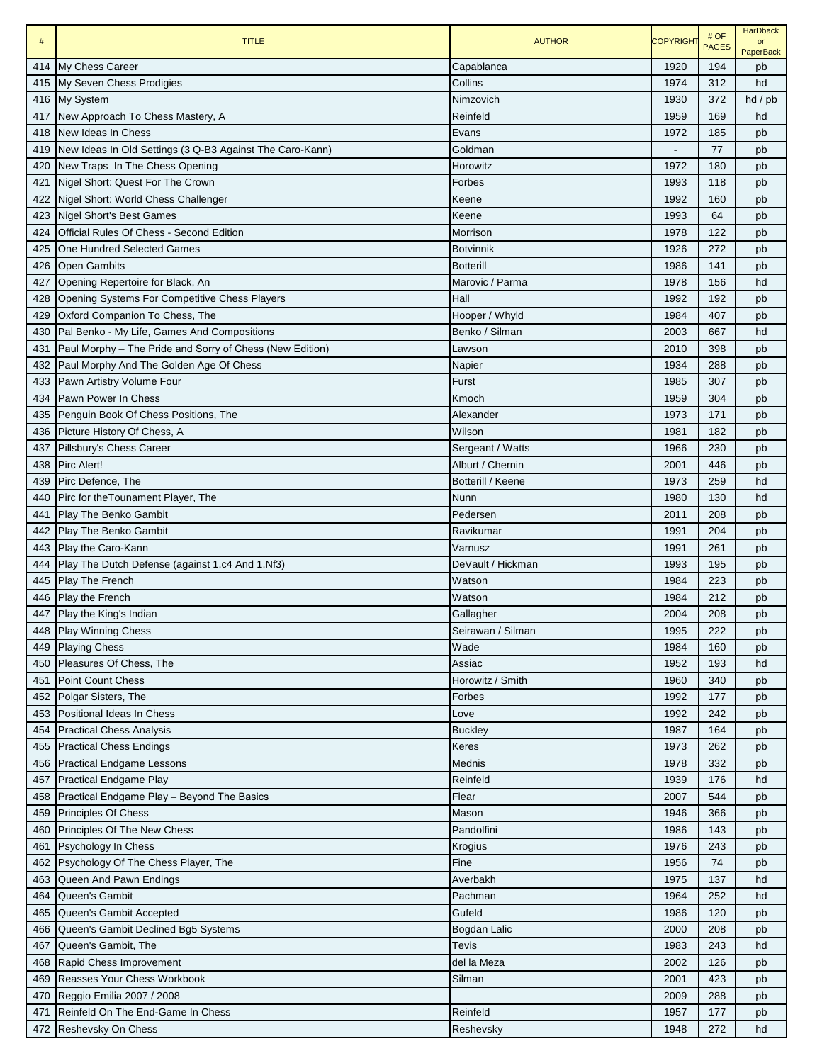| $\#$ | <b>TITLE</b>                                                 | <b>AUTHOR</b>     | <b>COPYRIGHT</b> | # OF<br><b>PAGES</b> | <b>HarDback</b><br>$\alpha$ r<br><b>PaperBack</b> |
|------|--------------------------------------------------------------|-------------------|------------------|----------------------|---------------------------------------------------|
|      | 414 My Chess Career                                          | Capablanca        | 1920             | 194                  | pb                                                |
| 415  | My Seven Chess Prodigies                                     | Collins           | 1974             | 312                  | hd                                                |
|      | 416 My System                                                | Nimzovich         | 1930             | 372                  | $hd$ / $pb$                                       |
| 417  | New Approach To Chess Mastery, A                             | Reinfeld          | 1959             | 169                  | hd                                                |
|      | 418 New Ideas In Chess                                       | Evans             | 1972             | 185                  | pb                                                |
|      | 419 New Ideas In Old Settings (3 Q-B3 Against The Caro-Kann) | Goldman           |                  | 77                   | pb                                                |
| 420  | New Traps In The Chess Opening                               | Horowitz          | 1972             | 180                  | pb                                                |
| 421  | Nigel Short: Quest For The Crown                             | Forbes            | 1993             | 118                  | pb                                                |
| 422  | Nigel Short: World Chess Challenger                          | Keene             | 1992             | 160                  | pb                                                |
|      | 423 Nigel Short's Best Games                                 | Keene             | 1993             | 64                   | pb                                                |
| 424  | <b>Official Rules Of Chess - Second Edition</b>              | Morrison          | 1978             | 122                  | pb                                                |
| 425  | <b>One Hundred Selected Games</b>                            | <b>Botvinnik</b>  | 1926             | 272                  | pb                                                |
|      | 426 Open Gambits                                             | <b>Botterill</b>  | 1986             | 141                  | pb                                                |
| 427  | Opening Repertoire for Black, An                             | Marovic / Parma   | 1978             | 156                  | hd                                                |
| 428  | <b>Opening Systems For Competitive Chess Players</b>         | Hall              | 1992             | 192                  | pb                                                |
| 429  | Oxford Companion To Chess, The                               | Hooper / Whyld    | 1984             | 407                  | pb                                                |
| 430  | Pal Benko - My Life, Games And Compositions                  | Benko / Silman    | 2003             | 667                  | hd                                                |
| 431  | Paul Morphy – The Pride and Sorry of Chess (New Edition)     | Lawson            | 2010             | 398                  | pb                                                |
| 432  | Paul Morphy And The Golden Age Of Chess                      | Napier            | 1934             | 288                  | pb                                                |
| 433  | Pawn Artistry Volume Four                                    | Furst             | 1985             | 307                  | pb                                                |
| 434  | Pawn Power In Chess                                          | Kmoch             | 1959             | 304                  | pb                                                |
| 435  | Penguin Book Of Chess Positions, The                         | Alexander         | 1973             | 171                  | pb                                                |
|      | 436 Picture History Of Chess, A                              | Wilson            | 1981             | 182                  | pb                                                |
| 437  | Pillsbury's Chess Career                                     | Sergeant / Watts  | 1966             | 230                  | pb                                                |
| 438  | Pirc Alert!                                                  | Alburt / Chernin  | 2001             | 446                  | pb                                                |
|      | 439 Pirc Defence, The                                        | Botterill / Keene | 1973             | 259                  | hd                                                |
|      | 440 Pirc for the Tounament Player, The                       | Nunn              | 1980             | 130                  | hd                                                |
| 441  | <b>Play The Benko Gambit</b>                                 | Pedersen          | 2011             | 208                  | pb                                                |
|      | 442 Play The Benko Gambit                                    | Ravikumar         | 1991             | 204                  | pb                                                |
|      | 443 Play the Caro-Kann                                       | Varnusz           | 1991             | 261                  | pb                                                |
|      | 444 Play The Dutch Defense (against 1.c4 And 1.Nf3)          | DeVault / Hickman | 1993             | 195                  | pb                                                |
|      | 445 Play The French                                          | Watson            | 1984             | 223                  | pb                                                |
|      | 446 Play the French                                          | Watson            | 1984             | 212                  | pb                                                |
|      | 447 Play the King's Indian                                   | Gallagher         | 2004             | 208                  | pb                                                |
| 448  | <b>Play Winning Chess</b>                                    | Seirawan / Silman | 1995             | 222                  | pb                                                |
|      | 449 Playing Chess                                            | Wade              | 1984             | 160                  | pb                                                |
|      | 450 Pleasures Of Chess, The                                  | Assiac            | 1952             | 193                  | hd                                                |
| 451  | <b>Point Count Chess</b>                                     | Horowitz / Smith  | 1960             | 340                  | pb                                                |
|      | 452 Polgar Sisters, The                                      | Forbes            | 1992             | 177                  | pb                                                |
|      | 453 Positional Ideas In Chess                                | Love              | 1992             | 242                  | pb                                                |
| 454  | <b>Practical Chess Analysis</b>                              | <b>Buckley</b>    | 1987             | 164                  | pb                                                |
|      | 455 Practical Chess Endings                                  | Keres             | 1973             | 262                  | pb                                                |
|      | 456 Practical Endgame Lessons                                | Mednis            | 1978             | 332                  | pb                                                |
|      | 457 Practical Endgame Play                                   | Reinfeld          | 1939             | 176                  | hd                                                |
|      | 458 Practical Endgame Play - Beyond The Basics               | Flear             | 2007             | 544                  | pb                                                |
|      | 459 Principles Of Chess                                      | Mason             | 1946             | 366                  | pb                                                |
|      | 460 Principles Of The New Chess                              | Pandolfini        | 1986             | 143                  | pb                                                |
| 461  | Psychology In Chess                                          | Krogius           | 1976             | 243                  | pb                                                |
|      | 462 Psychology Of The Chess Player, The                      | Fine              | 1956             | 74                   | pb                                                |
| 463  | Queen And Pawn Endings                                       | Averbakh          | 1975             | 137                  | hd                                                |
| 464  | Queen's Gambit                                               | Pachman           | 1964             | 252                  | hd                                                |
| 465  | Queen's Gambit Accepted                                      | Gufeld            | 1986             | 120                  | pb                                                |
| 466  | Queen's Gambit Declined Bg5 Systems                          | Bogdan Lalic      | 2000             | 208                  | pb                                                |
| 467  | Queen's Gambit, The                                          | Tevis             | 1983             | 243                  | hd                                                |
|      | 468 Rapid Chess Improvement                                  | del la Meza       | 2002             | 126                  | pb                                                |
| 469  | Reasses Your Chess Workbook                                  | Silman            | 2001             | 423                  | pb                                                |
| 470  | Reggio Emilia 2007 / 2008                                    |                   | 2009             | 288                  | pb                                                |
| 471  | Reinfeld On The End-Game In Chess                            | Reinfeld          | 1957             | 177                  | pb                                                |
|      | 472 Reshevsky On Chess                                       | Reshevsky         | 1948             | 272                  | hd                                                |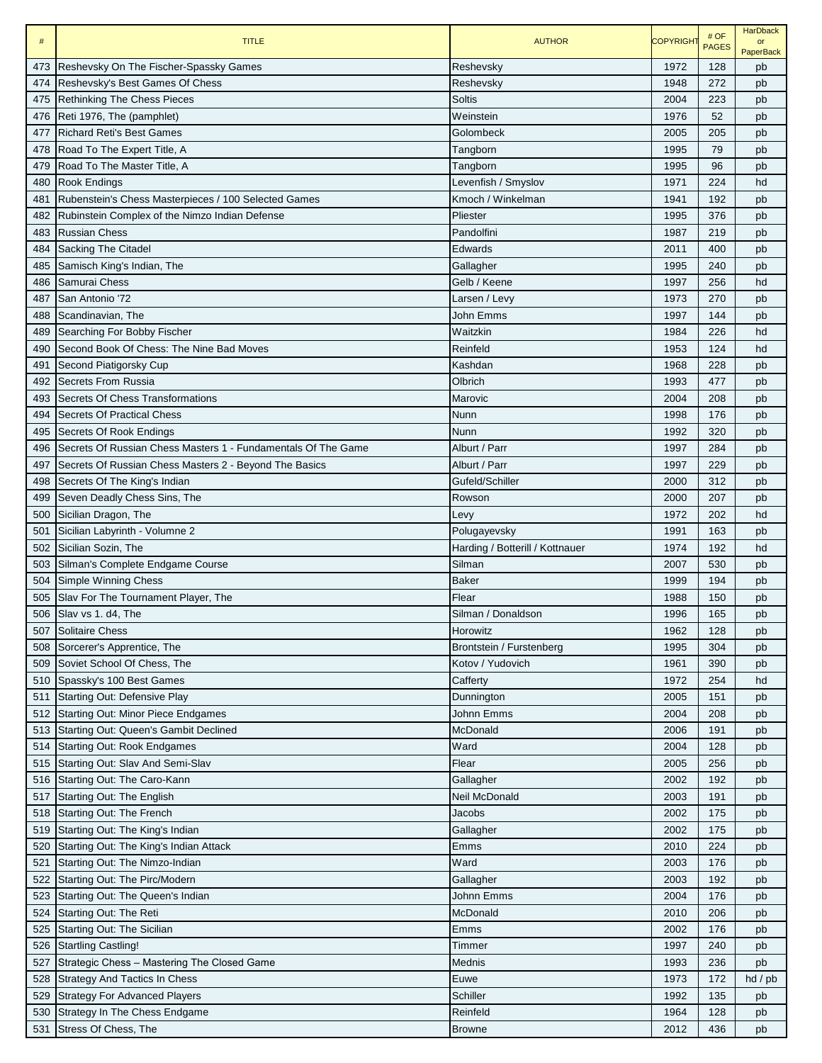| $\#$       | <b>TITLE</b>                                                  | <b>AUTHOR</b>                   | <b>COPYRIGHT</b> | # OF<br><b>PAGES</b> | <b>HarDback</b><br>or<br><b>PaperBack</b> |
|------------|---------------------------------------------------------------|---------------------------------|------------------|----------------------|-------------------------------------------|
| 473        | Reshevsky On The Fischer-Spassky Games                        | Reshevsky                       | 1972             | 128                  | pb                                        |
| 474        | Reshevsky's Best Games Of Chess                               | Reshevsky                       | 1948             | 272                  | pb                                        |
| 475        | <b>Rethinking The Chess Pieces</b>                            | Soltis                          | 2004             | 223                  | pb                                        |
| 476        | Reti 1976, The (pamphlet)                                     | Weinstein                       | 1976             | 52                   | pb                                        |
| 477        | <b>Richard Reti's Best Games</b>                              | Golombeck                       | 2005             | 205                  | pb                                        |
| 478        | Road To The Expert Title, A                                   | Tangborn                        | 1995             | 79                   | pb                                        |
| 479        | Road To The Master Title, A                                   | Tangborn                        | 1995             | 96                   | pb                                        |
| 480        | <b>Rook Endings</b>                                           | Levenfish / Smyslov             | 1971             | 224                  | hd                                        |
| 481        | Rubenstein's Chess Masterpieces / 100 Selected Games          | Kmoch / Winkelman               | 1941             | 192                  | pb                                        |
| 482        | Rubinstein Complex of the Nimzo Indian Defense                | Pliester                        | 1995             | 376                  | pb                                        |
| 483        | <b>Russian Chess</b>                                          | Pandolfini                      | 1987             | 219                  | pb                                        |
| 484        | Sacking The Citadel                                           | Edwards                         | 2011             | 400                  | pb                                        |
| 485        | Samisch King's Indian, The                                    | Gallagher                       | 1995             | 240                  | pb                                        |
| 486        | Samurai Chess                                                 | Gelb / Keene                    | 1997             | 256                  | hd                                        |
| 487        | San Antonio '72                                               | Larsen / Levy                   | 1973             | 270                  | pb                                        |
| 488        | Scandinavian, The                                             | John Emms                       | 1997             | 144                  | pb                                        |
| 489        | Searching For Bobby Fischer                                   | Waitzkin                        | 1984             | 226                  | hd                                        |
| 490        | Second Book Of Chess: The Nine Bad Moves                      | Reinfeld                        | 1953             | 124                  | hd                                        |
| 491        | Second Piatigorsky Cup                                        | Kashdan                         | 1968             | 228                  | pb                                        |
| 492        | Secrets From Russia                                           | Olbrich                         | 1993             | 477                  | pb                                        |
| 493        | Secrets Of Chess Transformations                              | Marovic                         | 2004             | 208                  | pb                                        |
| 494        | <b>Secrets Of Practical Chess</b>                             | Nunn                            | 1998             | 176                  | pb                                        |
| 495        | Secrets Of Rook Endings                                       | Nunn                            | 1992             | 320                  | pb                                        |
| 496        | Secrets Of Russian Chess Masters 1 - Fundamentals Of The Game | Alburt / Parr                   | 1997             | 284                  | pb                                        |
| 497        | Secrets Of Russian Chess Masters 2 - Beyond The Basics        | Alburt / Parr                   | 1997             | 229                  | pb                                        |
| 498        | Secrets Of The King's Indian                                  | Gufeld/Schiller                 | 2000             | 312                  | pb                                        |
| 499        | Seven Deadly Chess Sins, The                                  | Rowson                          | 2000             | 207                  | pb                                        |
| 500        | Sicilian Dragon, The                                          | Levy                            | 1972             | 202                  | hd                                        |
| 501        | Sicilian Labyrinth - Volumne 2                                | Polugayevsky                    | 1991             | 163                  | pb                                        |
| 502        | Sicilian Sozin, The                                           | Harding / Botterill / Kottnauer | 1974             | 192                  | hd                                        |
| 503        | Silman's Complete Endgame Course                              | Silman                          | 2007             | 530                  | pb                                        |
| 504        | Simple Winning Chess                                          | <b>Baker</b>                    | 1999             | 194                  | pb                                        |
| 505        | Slav For The Tournament Player, The                           | Flear                           | 1988             | 150                  | pb                                        |
| 506        | Slav vs 1. d4, The                                            | Silman / Donaldson              | 1996             | 165                  | pb                                        |
| 507        | Solitaire Chess                                               | Horowitz                        | 1962             | 128                  | pb                                        |
| 508        | Sorcerer's Apprentice, The                                    | Brontstein / Furstenberg        | 1995             | 304                  | pb                                        |
| 509        | Soviet School Of Chess, The                                   | Kotov / Yudovich                | 1961             | 390                  | pb                                        |
| 510        | Spassky's 100 Best Games                                      | Cafferty                        | 1972             | 254                  | hd                                        |
| 511        | Starting Out: Defensive Play                                  | Dunnington                      | 2005             | 151                  | pb                                        |
| 512        | Starting Out: Minor Piece Endgames                            | Johnn Emms                      | 2004             | 208                  |                                           |
| 513        | Starting Out: Queen's Gambit Declined                         | McDonald                        | 2006             | 191                  | pb<br>pb                                  |
| 514        | <b>Starting Out: Rook Endgames</b>                            | Ward                            | 2004             | 128                  |                                           |
| 515        | Starting Out: Slav And Semi-Slav                              | Flear                           | 2005             | 256                  | pb<br>pb                                  |
| 516        | Starting Out: The Caro-Kann                                   | Gallagher                       | 2002             | 192                  | pb                                        |
| 517        | Starting Out: The English                                     | Neil McDonald                   | 2003             | 191                  | pb                                        |
| 518        | Starting Out: The French                                      | Jacobs                          | 2002             | 175                  | pb                                        |
| 519        | Starting Out: The King's Indian                               | Gallagher                       | 2002             | 175                  | pb                                        |
| 520        | Starting Out: The King's Indian Attack                        | Emms                            | 2010             | 224                  | pb                                        |
| 521        | Starting Out: The Nimzo-Indian                                | Ward                            | 2003             | 176                  | pb                                        |
| 522        | Starting Out: The Pirc/Modern                                 | Gallagher                       | 2003             | 192                  |                                           |
| 523        | Starting Out: The Queen's Indian                              | Johnn Emms                      | 2004             | 176                  | pb<br>pb                                  |
| 524        | Starting Out: The Reti                                        | McDonald                        | 2010             | 206                  |                                           |
| 525        | Starting Out: The Sicilian                                    | Emms                            | 2002             | 176                  | pb                                        |
| 526        | <b>Startling Castling!</b>                                    |                                 | 1997             | 240                  | pb                                        |
|            |                                                               | Timmer                          | 1993             | 236                  | pb                                        |
| 527        | Strategic Chess - Mastering The Closed Game                   | Mednis                          | 1973             | 172                  | pb                                        |
| 528<br>529 | <b>Strategy And Tactics In Chess</b>                          | Euwe<br>Schiller                | 1992             | 135                  | $hd$ / $pb$                               |
|            | <b>Strategy For Advanced Players</b>                          | Reinfeld                        | 1964             | 128                  | pb                                        |
| 530        | Strategy In The Chess Endgame                                 |                                 |                  |                      | pb                                        |
| 531        | Stress Of Chess, The                                          | <b>Browne</b>                   | 2012             | 436                  | pb                                        |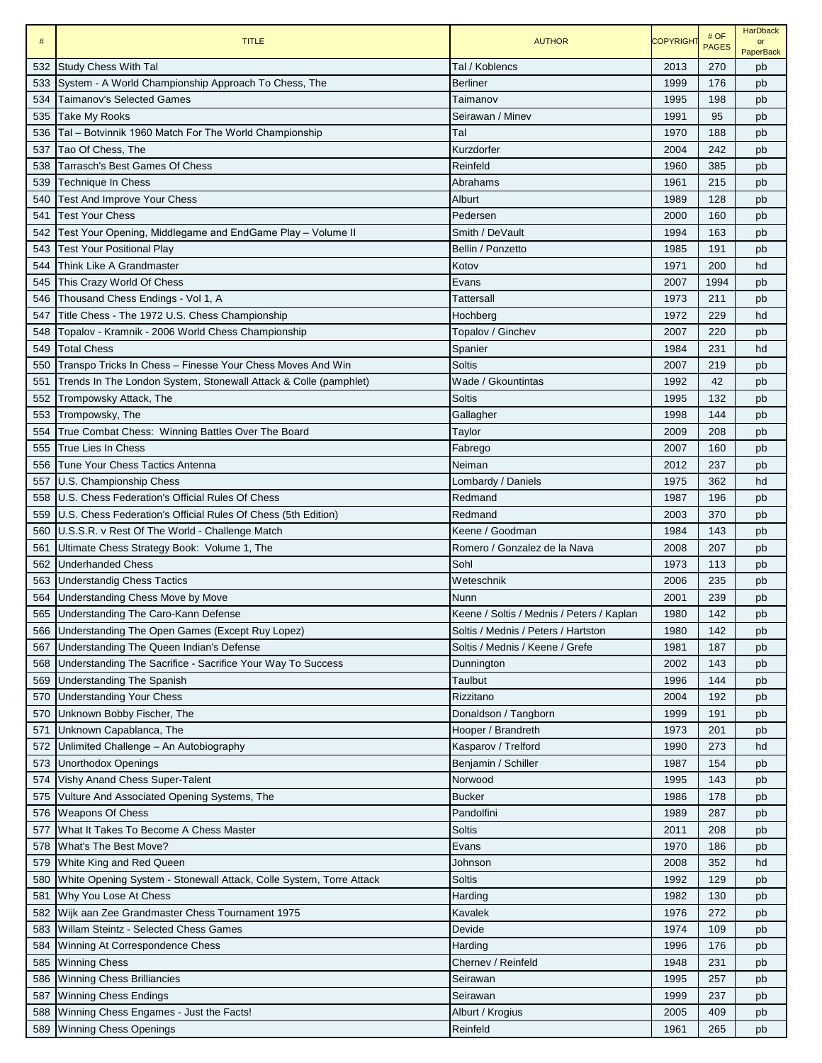| Tal / Koblencs<br><b>Study Chess With Tal</b><br>2013<br>270<br>532<br>pb<br>System - A World Championship Approach To Chess, The<br><b>Berliner</b><br>1999<br>176<br>533<br>pb<br>534<br>Taimanov's Selected Games<br>1995<br>198<br>Taimanov<br>pb<br>Take My Rooks<br>1991<br>95<br>535<br>Seirawan / Minev<br>pb<br>1970<br>188<br>536<br>Tal – Botvinnik 1960 Match For The World Championship<br>Tal<br>pb<br>Tao Of Chess, The<br>Kurzdorfer<br>242<br>537<br>2004<br>pb<br>Tarrasch's Best Games Of Chess<br>1960<br>538<br>Reinfeld<br>385<br>pb<br>215<br>539<br>Technique In Chess<br>Abrahams<br>1961<br>pb<br>128<br><b>Test And Improve Your Chess</b><br>1989<br>540<br>Alburt<br>pb<br>541<br><b>Test Your Chess</b><br>Pedersen<br>2000<br>160<br>pb<br>542<br>Test Your Opening, Middlegame and EndGame Play - Volume II<br>Smith / DeVault<br>1994<br>163<br>pb<br>191<br><b>Test Your Positional Play</b><br>Bellin / Ponzetto<br>1985<br>543<br>pb<br>Think Like A Grandmaster<br>200<br>544<br>Kotov<br>1971<br>hd<br>This Crazy World Of Chess<br>1994<br>545<br>2007<br>Evans<br>pb<br>211<br>Thousand Chess Endings - Vol 1, A<br>1973<br>546<br>Tattersall<br>pb<br>229<br>547<br>Title Chess - The 1972 U.S. Chess Championship<br>1972<br>Hochberg<br>hd<br>220<br>Topalov - Kramnik - 2006 World Chess Championship<br>Topalov / Ginchev<br>2007<br>548<br>pb<br>549<br><b>Total Chess</b><br>1984<br>231<br>Spanier<br>hd<br>Transpo Tricks In Chess - Finesse Your Chess Moves And Win<br>550<br>Soltis<br>2007<br>219<br>pb<br>1992<br>42<br>551<br>Trends In The London System, Stonewall Attack & Colle (pamphlet)<br>Wade / Gkountintas<br>pb<br>552<br>1995<br>132<br>Trompowsky Attack, The<br>Soltis<br>pb<br>1998<br>144<br>553<br>Trompowsky, The<br>Gallagher<br>pb<br>208<br>554<br>True Combat Chess: Winning Battles Over The Board<br>2009<br>Taylor<br>pb<br><b>True Lies In Chess</b><br>2007<br>160<br>555<br>Fabrego<br>pb<br>237<br>Tune Your Chess Tactics Antenna<br>2012<br>556<br>Neiman<br>pb<br>U.S. Championship Chess<br>1975<br>362<br>hd<br>557<br>Lombardy / Daniels<br>U.S. Chess Federation's Official Rules Of Chess<br>Redmand<br>1987<br>196<br>558<br>pb<br>2003<br>370<br>559<br>U.S. Chess Federation's Official Rules Of Chess (5th Edition)<br>Redmand<br>pb<br>143<br>U.S.S.R. v Rest Of The World - Challenge Match<br>Keene / Goodman<br>1984<br>560<br>pb<br>207<br>Ultimate Chess Strategy Book: Volume 1, The<br>Romero / Gonzalez de la Nava<br>2008<br>561<br>pb<br>113<br>562<br>Underhanded Chess<br>Sohl<br>1973<br>pb<br>235<br><b>Understandig Chess Tactics</b><br>Weteschnik<br>2006<br>563<br>pb<br>239<br>Understanding Chess Move by Move<br>2001<br>564<br>Nunn<br>pb<br>Understanding The Caro-Kann Defense<br>142<br>1980<br>565<br>Keene / Soltis / Mednis / Peters / Kaplan<br>pb<br>Understanding The Open Games (Except Ruy Lopez)<br>Soltis / Mednis / Peters / Hartston<br>1980<br>142<br>pb<br>566<br>Understanding The Queen Indian's Defense<br>Soltis / Mednis / Keene / Grefe<br>1981<br>187<br>567<br>pb<br>568<br>Understanding The Sacrifice - Sacrifice Your Way To Success<br>2002<br>143<br>Dunnington<br>pb<br>144<br>569<br><b>Understanding The Spanish</b><br>Taulbut<br>1996<br>pb<br><b>Understanding Your Chess</b><br>Rizzitano<br>2004<br>192<br>570<br>pb<br>1999<br>Unknown Bobby Fischer, The<br>Donaldson / Tangborn<br>191<br>570<br>pb<br>Unknown Capablanca, The<br>Hooper / Brandreth<br>1973<br>201<br>571<br>pb<br>Unlimited Challenge - An Autobiography<br>Kasparov / Trelford<br>1990<br>273<br>hd<br>572<br><b>Unorthodox Openings</b><br>Benjamin / Schiller<br>1987<br>154<br>573<br>pb<br>Vishy Anand Chess Super-Talent<br>143<br>574<br>Norwood<br>1995<br>pb<br><b>Bucker</b><br>178<br>Vulture And Associated Opening Systems, The<br>1986<br>575<br>pb<br><b>Weapons Of Chess</b><br>287<br>Pandolfini<br>1989<br>576<br>pb<br>What It Takes To Become A Chess Master<br>2011<br>208<br>Soltis<br>577<br>pb<br>What's The Best Move?<br>186<br>1970<br>578<br>Evans<br>pb<br>White King and Red Queen<br>2008<br>352<br>579<br>Johnson<br>hd<br>129<br>White Opening System - Stonewall Attack, Colle System, Torre Attack<br>1992<br>580<br>Soltis<br>pb<br>Why You Lose At Chess<br>1982<br>130<br>581<br>Harding<br>pb<br>Wijk aan Zee Grandmaster Chess Tournament 1975<br>582<br>Kavalek<br>1976<br>272<br>pb<br>Willam Steintz - Selected Chess Games<br>Devide<br>1974<br>583<br>109<br>pb<br>Winning At Correspondence Chess<br>1996<br>176<br>584<br>Harding<br>pb<br><b>Winning Chess</b><br>Chernev / Reinfeld<br>1948<br>231<br>585<br>pb<br><b>Winning Chess Brilliancies</b><br>Seirawan<br>1995<br>257<br>586<br>pb<br><b>Winning Chess Endings</b><br>1999<br>237<br>587<br>Seirawan<br>pb<br>Winning Chess Engames - Just the Facts!<br>Alburt / Krogius<br>2005<br>409<br>588<br>pb<br>589 Winning Chess Openings<br>Reinfeld<br>1961<br>265<br>pb | # | <b>TITLE</b> | <b>AUTHOR</b> | <b>COPYRIGHT</b> | # OF<br><b>PAGES</b> | <b>HarDback</b><br>or<br><b>PaperBack</b> |
|-------------------------------------------------------------------------------------------------------------------------------------------------------------------------------------------------------------------------------------------------------------------------------------------------------------------------------------------------------------------------------------------------------------------------------------------------------------------------------------------------------------------------------------------------------------------------------------------------------------------------------------------------------------------------------------------------------------------------------------------------------------------------------------------------------------------------------------------------------------------------------------------------------------------------------------------------------------------------------------------------------------------------------------------------------------------------------------------------------------------------------------------------------------------------------------------------------------------------------------------------------------------------------------------------------------------------------------------------------------------------------------------------------------------------------------------------------------------------------------------------------------------------------------------------------------------------------------------------------------------------------------------------------------------------------------------------------------------------------------------------------------------------------------------------------------------------------------------------------------------------------------------------------------------------------------------------------------------------------------------------------------------------------------------------------------------------------------------------------------------------------------------------------------------------------------------------------------------------------------------------------------------------------------------------------------------------------------------------------------------------------------------------------------------------------------------------------------------------------------------------------------------------------------------------------------------------------------------------------------------------------------------------------------------------------------------------------------------------------------------------------------------------------------------------------------------------------------------------------------------------------------------------------------------------------------------------------------------------------------------------------------------------------------------------------------------------------------------------------------------------------------------------------------------------------------------------------------------------------------------------------------------------------------------------------------------------------------------------------------------------------------------------------------------------------------------------------------------------------------------------------------------------------------------------------------------------------------------------------------------------------------------------------------------------------------------------------------------------------------------------------------------------------------------------------------------------------------------------------------------------------------------------------------------------------------------------------------------------------------------------------------------------------------------------------------------------------------------------------------------------------------------------------------------------------------------------------------------------------------------------------------------------------------------------------------------------------------------------------------------------------------------------------------------------------------------------------------------------------------------------------------------------------------------------------------------------------------------------------------------------------------------------------------------------------------------------------------------------------------------------------------------------------------------------------------------------------------------------------------------------------------------------------------------------------------------------------------------------------------------------------------------|---|--------------|---------------|------------------|----------------------|-------------------------------------------|
|                                                                                                                                                                                                                                                                                                                                                                                                                                                                                                                                                                                                                                                                                                                                                                                                                                                                                                                                                                                                                                                                                                                                                                                                                                                                                                                                                                                                                                                                                                                                                                                                                                                                                                                                                                                                                                                                                                                                                                                                                                                                                                                                                                                                                                                                                                                                                                                                                                                                                                                                                                                                                                                                                                                                                                                                                                                                                                                                                                                                                                                                                                                                                                                                                                                                                                                                                                                                                                                                                                                                                                                                                                                                                                                                                                                                                                                                                                                                                                                                                                                                                                                                                                                                                                                                                                                                                                                                                                                                                                                                                                                                                                                                                                                                                                                                                                                                                                                                                                                                                   |   |              |               |                  |                      |                                           |
|                                                                                                                                                                                                                                                                                                                                                                                                                                                                                                                                                                                                                                                                                                                                                                                                                                                                                                                                                                                                                                                                                                                                                                                                                                                                                                                                                                                                                                                                                                                                                                                                                                                                                                                                                                                                                                                                                                                                                                                                                                                                                                                                                                                                                                                                                                                                                                                                                                                                                                                                                                                                                                                                                                                                                                                                                                                                                                                                                                                                                                                                                                                                                                                                                                                                                                                                                                                                                                                                                                                                                                                                                                                                                                                                                                                                                                                                                                                                                                                                                                                                                                                                                                                                                                                                                                                                                                                                                                                                                                                                                                                                                                                                                                                                                                                                                                                                                                                                                                                                                   |   |              |               |                  |                      |                                           |
|                                                                                                                                                                                                                                                                                                                                                                                                                                                                                                                                                                                                                                                                                                                                                                                                                                                                                                                                                                                                                                                                                                                                                                                                                                                                                                                                                                                                                                                                                                                                                                                                                                                                                                                                                                                                                                                                                                                                                                                                                                                                                                                                                                                                                                                                                                                                                                                                                                                                                                                                                                                                                                                                                                                                                                                                                                                                                                                                                                                                                                                                                                                                                                                                                                                                                                                                                                                                                                                                                                                                                                                                                                                                                                                                                                                                                                                                                                                                                                                                                                                                                                                                                                                                                                                                                                                                                                                                                                                                                                                                                                                                                                                                                                                                                                                                                                                                                                                                                                                                                   |   |              |               |                  |                      |                                           |
|                                                                                                                                                                                                                                                                                                                                                                                                                                                                                                                                                                                                                                                                                                                                                                                                                                                                                                                                                                                                                                                                                                                                                                                                                                                                                                                                                                                                                                                                                                                                                                                                                                                                                                                                                                                                                                                                                                                                                                                                                                                                                                                                                                                                                                                                                                                                                                                                                                                                                                                                                                                                                                                                                                                                                                                                                                                                                                                                                                                                                                                                                                                                                                                                                                                                                                                                                                                                                                                                                                                                                                                                                                                                                                                                                                                                                                                                                                                                                                                                                                                                                                                                                                                                                                                                                                                                                                                                                                                                                                                                                                                                                                                                                                                                                                                                                                                                                                                                                                                                                   |   |              |               |                  |                      |                                           |
|                                                                                                                                                                                                                                                                                                                                                                                                                                                                                                                                                                                                                                                                                                                                                                                                                                                                                                                                                                                                                                                                                                                                                                                                                                                                                                                                                                                                                                                                                                                                                                                                                                                                                                                                                                                                                                                                                                                                                                                                                                                                                                                                                                                                                                                                                                                                                                                                                                                                                                                                                                                                                                                                                                                                                                                                                                                                                                                                                                                                                                                                                                                                                                                                                                                                                                                                                                                                                                                                                                                                                                                                                                                                                                                                                                                                                                                                                                                                                                                                                                                                                                                                                                                                                                                                                                                                                                                                                                                                                                                                                                                                                                                                                                                                                                                                                                                                                                                                                                                                                   |   |              |               |                  |                      |                                           |
|                                                                                                                                                                                                                                                                                                                                                                                                                                                                                                                                                                                                                                                                                                                                                                                                                                                                                                                                                                                                                                                                                                                                                                                                                                                                                                                                                                                                                                                                                                                                                                                                                                                                                                                                                                                                                                                                                                                                                                                                                                                                                                                                                                                                                                                                                                                                                                                                                                                                                                                                                                                                                                                                                                                                                                                                                                                                                                                                                                                                                                                                                                                                                                                                                                                                                                                                                                                                                                                                                                                                                                                                                                                                                                                                                                                                                                                                                                                                                                                                                                                                                                                                                                                                                                                                                                                                                                                                                                                                                                                                                                                                                                                                                                                                                                                                                                                                                                                                                                                                                   |   |              |               |                  |                      |                                           |
|                                                                                                                                                                                                                                                                                                                                                                                                                                                                                                                                                                                                                                                                                                                                                                                                                                                                                                                                                                                                                                                                                                                                                                                                                                                                                                                                                                                                                                                                                                                                                                                                                                                                                                                                                                                                                                                                                                                                                                                                                                                                                                                                                                                                                                                                                                                                                                                                                                                                                                                                                                                                                                                                                                                                                                                                                                                                                                                                                                                                                                                                                                                                                                                                                                                                                                                                                                                                                                                                                                                                                                                                                                                                                                                                                                                                                                                                                                                                                                                                                                                                                                                                                                                                                                                                                                                                                                                                                                                                                                                                                                                                                                                                                                                                                                                                                                                                                                                                                                                                                   |   |              |               |                  |                      |                                           |
|                                                                                                                                                                                                                                                                                                                                                                                                                                                                                                                                                                                                                                                                                                                                                                                                                                                                                                                                                                                                                                                                                                                                                                                                                                                                                                                                                                                                                                                                                                                                                                                                                                                                                                                                                                                                                                                                                                                                                                                                                                                                                                                                                                                                                                                                                                                                                                                                                                                                                                                                                                                                                                                                                                                                                                                                                                                                                                                                                                                                                                                                                                                                                                                                                                                                                                                                                                                                                                                                                                                                                                                                                                                                                                                                                                                                                                                                                                                                                                                                                                                                                                                                                                                                                                                                                                                                                                                                                                                                                                                                                                                                                                                                                                                                                                                                                                                                                                                                                                                                                   |   |              |               |                  |                      |                                           |
|                                                                                                                                                                                                                                                                                                                                                                                                                                                                                                                                                                                                                                                                                                                                                                                                                                                                                                                                                                                                                                                                                                                                                                                                                                                                                                                                                                                                                                                                                                                                                                                                                                                                                                                                                                                                                                                                                                                                                                                                                                                                                                                                                                                                                                                                                                                                                                                                                                                                                                                                                                                                                                                                                                                                                                                                                                                                                                                                                                                                                                                                                                                                                                                                                                                                                                                                                                                                                                                                                                                                                                                                                                                                                                                                                                                                                                                                                                                                                                                                                                                                                                                                                                                                                                                                                                                                                                                                                                                                                                                                                                                                                                                                                                                                                                                                                                                                                                                                                                                                                   |   |              |               |                  |                      |                                           |
|                                                                                                                                                                                                                                                                                                                                                                                                                                                                                                                                                                                                                                                                                                                                                                                                                                                                                                                                                                                                                                                                                                                                                                                                                                                                                                                                                                                                                                                                                                                                                                                                                                                                                                                                                                                                                                                                                                                                                                                                                                                                                                                                                                                                                                                                                                                                                                                                                                                                                                                                                                                                                                                                                                                                                                                                                                                                                                                                                                                                                                                                                                                                                                                                                                                                                                                                                                                                                                                                                                                                                                                                                                                                                                                                                                                                                                                                                                                                                                                                                                                                                                                                                                                                                                                                                                                                                                                                                                                                                                                                                                                                                                                                                                                                                                                                                                                                                                                                                                                                                   |   |              |               |                  |                      |                                           |
|                                                                                                                                                                                                                                                                                                                                                                                                                                                                                                                                                                                                                                                                                                                                                                                                                                                                                                                                                                                                                                                                                                                                                                                                                                                                                                                                                                                                                                                                                                                                                                                                                                                                                                                                                                                                                                                                                                                                                                                                                                                                                                                                                                                                                                                                                                                                                                                                                                                                                                                                                                                                                                                                                                                                                                                                                                                                                                                                                                                                                                                                                                                                                                                                                                                                                                                                                                                                                                                                                                                                                                                                                                                                                                                                                                                                                                                                                                                                                                                                                                                                                                                                                                                                                                                                                                                                                                                                                                                                                                                                                                                                                                                                                                                                                                                                                                                                                                                                                                                                                   |   |              |               |                  |                      |                                           |
|                                                                                                                                                                                                                                                                                                                                                                                                                                                                                                                                                                                                                                                                                                                                                                                                                                                                                                                                                                                                                                                                                                                                                                                                                                                                                                                                                                                                                                                                                                                                                                                                                                                                                                                                                                                                                                                                                                                                                                                                                                                                                                                                                                                                                                                                                                                                                                                                                                                                                                                                                                                                                                                                                                                                                                                                                                                                                                                                                                                                                                                                                                                                                                                                                                                                                                                                                                                                                                                                                                                                                                                                                                                                                                                                                                                                                                                                                                                                                                                                                                                                                                                                                                                                                                                                                                                                                                                                                                                                                                                                                                                                                                                                                                                                                                                                                                                                                                                                                                                                                   |   |              |               |                  |                      |                                           |
|                                                                                                                                                                                                                                                                                                                                                                                                                                                                                                                                                                                                                                                                                                                                                                                                                                                                                                                                                                                                                                                                                                                                                                                                                                                                                                                                                                                                                                                                                                                                                                                                                                                                                                                                                                                                                                                                                                                                                                                                                                                                                                                                                                                                                                                                                                                                                                                                                                                                                                                                                                                                                                                                                                                                                                                                                                                                                                                                                                                                                                                                                                                                                                                                                                                                                                                                                                                                                                                                                                                                                                                                                                                                                                                                                                                                                                                                                                                                                                                                                                                                                                                                                                                                                                                                                                                                                                                                                                                                                                                                                                                                                                                                                                                                                                                                                                                                                                                                                                                                                   |   |              |               |                  |                      |                                           |
|                                                                                                                                                                                                                                                                                                                                                                                                                                                                                                                                                                                                                                                                                                                                                                                                                                                                                                                                                                                                                                                                                                                                                                                                                                                                                                                                                                                                                                                                                                                                                                                                                                                                                                                                                                                                                                                                                                                                                                                                                                                                                                                                                                                                                                                                                                                                                                                                                                                                                                                                                                                                                                                                                                                                                                                                                                                                                                                                                                                                                                                                                                                                                                                                                                                                                                                                                                                                                                                                                                                                                                                                                                                                                                                                                                                                                                                                                                                                                                                                                                                                                                                                                                                                                                                                                                                                                                                                                                                                                                                                                                                                                                                                                                                                                                                                                                                                                                                                                                                                                   |   |              |               |                  |                      |                                           |
|                                                                                                                                                                                                                                                                                                                                                                                                                                                                                                                                                                                                                                                                                                                                                                                                                                                                                                                                                                                                                                                                                                                                                                                                                                                                                                                                                                                                                                                                                                                                                                                                                                                                                                                                                                                                                                                                                                                                                                                                                                                                                                                                                                                                                                                                                                                                                                                                                                                                                                                                                                                                                                                                                                                                                                                                                                                                                                                                                                                                                                                                                                                                                                                                                                                                                                                                                                                                                                                                                                                                                                                                                                                                                                                                                                                                                                                                                                                                                                                                                                                                                                                                                                                                                                                                                                                                                                                                                                                                                                                                                                                                                                                                                                                                                                                                                                                                                                                                                                                                                   |   |              |               |                  |                      |                                           |
|                                                                                                                                                                                                                                                                                                                                                                                                                                                                                                                                                                                                                                                                                                                                                                                                                                                                                                                                                                                                                                                                                                                                                                                                                                                                                                                                                                                                                                                                                                                                                                                                                                                                                                                                                                                                                                                                                                                                                                                                                                                                                                                                                                                                                                                                                                                                                                                                                                                                                                                                                                                                                                                                                                                                                                                                                                                                                                                                                                                                                                                                                                                                                                                                                                                                                                                                                                                                                                                                                                                                                                                                                                                                                                                                                                                                                                                                                                                                                                                                                                                                                                                                                                                                                                                                                                                                                                                                                                                                                                                                                                                                                                                                                                                                                                                                                                                                                                                                                                                                                   |   |              |               |                  |                      |                                           |
|                                                                                                                                                                                                                                                                                                                                                                                                                                                                                                                                                                                                                                                                                                                                                                                                                                                                                                                                                                                                                                                                                                                                                                                                                                                                                                                                                                                                                                                                                                                                                                                                                                                                                                                                                                                                                                                                                                                                                                                                                                                                                                                                                                                                                                                                                                                                                                                                                                                                                                                                                                                                                                                                                                                                                                                                                                                                                                                                                                                                                                                                                                                                                                                                                                                                                                                                                                                                                                                                                                                                                                                                                                                                                                                                                                                                                                                                                                                                                                                                                                                                                                                                                                                                                                                                                                                                                                                                                                                                                                                                                                                                                                                                                                                                                                                                                                                                                                                                                                                                                   |   |              |               |                  |                      |                                           |
|                                                                                                                                                                                                                                                                                                                                                                                                                                                                                                                                                                                                                                                                                                                                                                                                                                                                                                                                                                                                                                                                                                                                                                                                                                                                                                                                                                                                                                                                                                                                                                                                                                                                                                                                                                                                                                                                                                                                                                                                                                                                                                                                                                                                                                                                                                                                                                                                                                                                                                                                                                                                                                                                                                                                                                                                                                                                                                                                                                                                                                                                                                                                                                                                                                                                                                                                                                                                                                                                                                                                                                                                                                                                                                                                                                                                                                                                                                                                                                                                                                                                                                                                                                                                                                                                                                                                                                                                                                                                                                                                                                                                                                                                                                                                                                                                                                                                                                                                                                                                                   |   |              |               |                  |                      |                                           |
|                                                                                                                                                                                                                                                                                                                                                                                                                                                                                                                                                                                                                                                                                                                                                                                                                                                                                                                                                                                                                                                                                                                                                                                                                                                                                                                                                                                                                                                                                                                                                                                                                                                                                                                                                                                                                                                                                                                                                                                                                                                                                                                                                                                                                                                                                                                                                                                                                                                                                                                                                                                                                                                                                                                                                                                                                                                                                                                                                                                                                                                                                                                                                                                                                                                                                                                                                                                                                                                                                                                                                                                                                                                                                                                                                                                                                                                                                                                                                                                                                                                                                                                                                                                                                                                                                                                                                                                                                                                                                                                                                                                                                                                                                                                                                                                                                                                                                                                                                                                                                   |   |              |               |                  |                      |                                           |
|                                                                                                                                                                                                                                                                                                                                                                                                                                                                                                                                                                                                                                                                                                                                                                                                                                                                                                                                                                                                                                                                                                                                                                                                                                                                                                                                                                                                                                                                                                                                                                                                                                                                                                                                                                                                                                                                                                                                                                                                                                                                                                                                                                                                                                                                                                                                                                                                                                                                                                                                                                                                                                                                                                                                                                                                                                                                                                                                                                                                                                                                                                                                                                                                                                                                                                                                                                                                                                                                                                                                                                                                                                                                                                                                                                                                                                                                                                                                                                                                                                                                                                                                                                                                                                                                                                                                                                                                                                                                                                                                                                                                                                                                                                                                                                                                                                                                                                                                                                                                                   |   |              |               |                  |                      |                                           |
|                                                                                                                                                                                                                                                                                                                                                                                                                                                                                                                                                                                                                                                                                                                                                                                                                                                                                                                                                                                                                                                                                                                                                                                                                                                                                                                                                                                                                                                                                                                                                                                                                                                                                                                                                                                                                                                                                                                                                                                                                                                                                                                                                                                                                                                                                                                                                                                                                                                                                                                                                                                                                                                                                                                                                                                                                                                                                                                                                                                                                                                                                                                                                                                                                                                                                                                                                                                                                                                                                                                                                                                                                                                                                                                                                                                                                                                                                                                                                                                                                                                                                                                                                                                                                                                                                                                                                                                                                                                                                                                                                                                                                                                                                                                                                                                                                                                                                                                                                                                                                   |   |              |               |                  |                      |                                           |
|                                                                                                                                                                                                                                                                                                                                                                                                                                                                                                                                                                                                                                                                                                                                                                                                                                                                                                                                                                                                                                                                                                                                                                                                                                                                                                                                                                                                                                                                                                                                                                                                                                                                                                                                                                                                                                                                                                                                                                                                                                                                                                                                                                                                                                                                                                                                                                                                                                                                                                                                                                                                                                                                                                                                                                                                                                                                                                                                                                                                                                                                                                                                                                                                                                                                                                                                                                                                                                                                                                                                                                                                                                                                                                                                                                                                                                                                                                                                                                                                                                                                                                                                                                                                                                                                                                                                                                                                                                                                                                                                                                                                                                                                                                                                                                                                                                                                                                                                                                                                                   |   |              |               |                  |                      |                                           |
|                                                                                                                                                                                                                                                                                                                                                                                                                                                                                                                                                                                                                                                                                                                                                                                                                                                                                                                                                                                                                                                                                                                                                                                                                                                                                                                                                                                                                                                                                                                                                                                                                                                                                                                                                                                                                                                                                                                                                                                                                                                                                                                                                                                                                                                                                                                                                                                                                                                                                                                                                                                                                                                                                                                                                                                                                                                                                                                                                                                                                                                                                                                                                                                                                                                                                                                                                                                                                                                                                                                                                                                                                                                                                                                                                                                                                                                                                                                                                                                                                                                                                                                                                                                                                                                                                                                                                                                                                                                                                                                                                                                                                                                                                                                                                                                                                                                                                                                                                                                                                   |   |              |               |                  |                      |                                           |
|                                                                                                                                                                                                                                                                                                                                                                                                                                                                                                                                                                                                                                                                                                                                                                                                                                                                                                                                                                                                                                                                                                                                                                                                                                                                                                                                                                                                                                                                                                                                                                                                                                                                                                                                                                                                                                                                                                                                                                                                                                                                                                                                                                                                                                                                                                                                                                                                                                                                                                                                                                                                                                                                                                                                                                                                                                                                                                                                                                                                                                                                                                                                                                                                                                                                                                                                                                                                                                                                                                                                                                                                                                                                                                                                                                                                                                                                                                                                                                                                                                                                                                                                                                                                                                                                                                                                                                                                                                                                                                                                                                                                                                                                                                                                                                                                                                                                                                                                                                                                                   |   |              |               |                  |                      |                                           |
|                                                                                                                                                                                                                                                                                                                                                                                                                                                                                                                                                                                                                                                                                                                                                                                                                                                                                                                                                                                                                                                                                                                                                                                                                                                                                                                                                                                                                                                                                                                                                                                                                                                                                                                                                                                                                                                                                                                                                                                                                                                                                                                                                                                                                                                                                                                                                                                                                                                                                                                                                                                                                                                                                                                                                                                                                                                                                                                                                                                                                                                                                                                                                                                                                                                                                                                                                                                                                                                                                                                                                                                                                                                                                                                                                                                                                                                                                                                                                                                                                                                                                                                                                                                                                                                                                                                                                                                                                                                                                                                                                                                                                                                                                                                                                                                                                                                                                                                                                                                                                   |   |              |               |                  |                      |                                           |
|                                                                                                                                                                                                                                                                                                                                                                                                                                                                                                                                                                                                                                                                                                                                                                                                                                                                                                                                                                                                                                                                                                                                                                                                                                                                                                                                                                                                                                                                                                                                                                                                                                                                                                                                                                                                                                                                                                                                                                                                                                                                                                                                                                                                                                                                                                                                                                                                                                                                                                                                                                                                                                                                                                                                                                                                                                                                                                                                                                                                                                                                                                                                                                                                                                                                                                                                                                                                                                                                                                                                                                                                                                                                                                                                                                                                                                                                                                                                                                                                                                                                                                                                                                                                                                                                                                                                                                                                                                                                                                                                                                                                                                                                                                                                                                                                                                                                                                                                                                                                                   |   |              |               |                  |                      |                                           |
|                                                                                                                                                                                                                                                                                                                                                                                                                                                                                                                                                                                                                                                                                                                                                                                                                                                                                                                                                                                                                                                                                                                                                                                                                                                                                                                                                                                                                                                                                                                                                                                                                                                                                                                                                                                                                                                                                                                                                                                                                                                                                                                                                                                                                                                                                                                                                                                                                                                                                                                                                                                                                                                                                                                                                                                                                                                                                                                                                                                                                                                                                                                                                                                                                                                                                                                                                                                                                                                                                                                                                                                                                                                                                                                                                                                                                                                                                                                                                                                                                                                                                                                                                                                                                                                                                                                                                                                                                                                                                                                                                                                                                                                                                                                                                                                                                                                                                                                                                                                                                   |   |              |               |                  |                      |                                           |
|                                                                                                                                                                                                                                                                                                                                                                                                                                                                                                                                                                                                                                                                                                                                                                                                                                                                                                                                                                                                                                                                                                                                                                                                                                                                                                                                                                                                                                                                                                                                                                                                                                                                                                                                                                                                                                                                                                                                                                                                                                                                                                                                                                                                                                                                                                                                                                                                                                                                                                                                                                                                                                                                                                                                                                                                                                                                                                                                                                                                                                                                                                                                                                                                                                                                                                                                                                                                                                                                                                                                                                                                                                                                                                                                                                                                                                                                                                                                                                                                                                                                                                                                                                                                                                                                                                                                                                                                                                                                                                                                                                                                                                                                                                                                                                                                                                                                                                                                                                                                                   |   |              |               |                  |                      |                                           |
|                                                                                                                                                                                                                                                                                                                                                                                                                                                                                                                                                                                                                                                                                                                                                                                                                                                                                                                                                                                                                                                                                                                                                                                                                                                                                                                                                                                                                                                                                                                                                                                                                                                                                                                                                                                                                                                                                                                                                                                                                                                                                                                                                                                                                                                                                                                                                                                                                                                                                                                                                                                                                                                                                                                                                                                                                                                                                                                                                                                                                                                                                                                                                                                                                                                                                                                                                                                                                                                                                                                                                                                                                                                                                                                                                                                                                                                                                                                                                                                                                                                                                                                                                                                                                                                                                                                                                                                                                                                                                                                                                                                                                                                                                                                                                                                                                                                                                                                                                                                                                   |   |              |               |                  |                      |                                           |
|                                                                                                                                                                                                                                                                                                                                                                                                                                                                                                                                                                                                                                                                                                                                                                                                                                                                                                                                                                                                                                                                                                                                                                                                                                                                                                                                                                                                                                                                                                                                                                                                                                                                                                                                                                                                                                                                                                                                                                                                                                                                                                                                                                                                                                                                                                                                                                                                                                                                                                                                                                                                                                                                                                                                                                                                                                                                                                                                                                                                                                                                                                                                                                                                                                                                                                                                                                                                                                                                                                                                                                                                                                                                                                                                                                                                                                                                                                                                                                                                                                                                                                                                                                                                                                                                                                                                                                                                                                                                                                                                                                                                                                                                                                                                                                                                                                                                                                                                                                                                                   |   |              |               |                  |                      |                                           |
|                                                                                                                                                                                                                                                                                                                                                                                                                                                                                                                                                                                                                                                                                                                                                                                                                                                                                                                                                                                                                                                                                                                                                                                                                                                                                                                                                                                                                                                                                                                                                                                                                                                                                                                                                                                                                                                                                                                                                                                                                                                                                                                                                                                                                                                                                                                                                                                                                                                                                                                                                                                                                                                                                                                                                                                                                                                                                                                                                                                                                                                                                                                                                                                                                                                                                                                                                                                                                                                                                                                                                                                                                                                                                                                                                                                                                                                                                                                                                                                                                                                                                                                                                                                                                                                                                                                                                                                                                                                                                                                                                                                                                                                                                                                                                                                                                                                                                                                                                                                                                   |   |              |               |                  |                      |                                           |
|                                                                                                                                                                                                                                                                                                                                                                                                                                                                                                                                                                                                                                                                                                                                                                                                                                                                                                                                                                                                                                                                                                                                                                                                                                                                                                                                                                                                                                                                                                                                                                                                                                                                                                                                                                                                                                                                                                                                                                                                                                                                                                                                                                                                                                                                                                                                                                                                                                                                                                                                                                                                                                                                                                                                                                                                                                                                                                                                                                                                                                                                                                                                                                                                                                                                                                                                                                                                                                                                                                                                                                                                                                                                                                                                                                                                                                                                                                                                                                                                                                                                                                                                                                                                                                                                                                                                                                                                                                                                                                                                                                                                                                                                                                                                                                                                                                                                                                                                                                                                                   |   |              |               |                  |                      |                                           |
|                                                                                                                                                                                                                                                                                                                                                                                                                                                                                                                                                                                                                                                                                                                                                                                                                                                                                                                                                                                                                                                                                                                                                                                                                                                                                                                                                                                                                                                                                                                                                                                                                                                                                                                                                                                                                                                                                                                                                                                                                                                                                                                                                                                                                                                                                                                                                                                                                                                                                                                                                                                                                                                                                                                                                                                                                                                                                                                                                                                                                                                                                                                                                                                                                                                                                                                                                                                                                                                                                                                                                                                                                                                                                                                                                                                                                                                                                                                                                                                                                                                                                                                                                                                                                                                                                                                                                                                                                                                                                                                                                                                                                                                                                                                                                                                                                                                                                                                                                                                                                   |   |              |               |                  |                      |                                           |
|                                                                                                                                                                                                                                                                                                                                                                                                                                                                                                                                                                                                                                                                                                                                                                                                                                                                                                                                                                                                                                                                                                                                                                                                                                                                                                                                                                                                                                                                                                                                                                                                                                                                                                                                                                                                                                                                                                                                                                                                                                                                                                                                                                                                                                                                                                                                                                                                                                                                                                                                                                                                                                                                                                                                                                                                                                                                                                                                                                                                                                                                                                                                                                                                                                                                                                                                                                                                                                                                                                                                                                                                                                                                                                                                                                                                                                                                                                                                                                                                                                                                                                                                                                                                                                                                                                                                                                                                                                                                                                                                                                                                                                                                                                                                                                                                                                                                                                                                                                                                                   |   |              |               |                  |                      |                                           |
|                                                                                                                                                                                                                                                                                                                                                                                                                                                                                                                                                                                                                                                                                                                                                                                                                                                                                                                                                                                                                                                                                                                                                                                                                                                                                                                                                                                                                                                                                                                                                                                                                                                                                                                                                                                                                                                                                                                                                                                                                                                                                                                                                                                                                                                                                                                                                                                                                                                                                                                                                                                                                                                                                                                                                                                                                                                                                                                                                                                                                                                                                                                                                                                                                                                                                                                                                                                                                                                                                                                                                                                                                                                                                                                                                                                                                                                                                                                                                                                                                                                                                                                                                                                                                                                                                                                                                                                                                                                                                                                                                                                                                                                                                                                                                                                                                                                                                                                                                                                                                   |   |              |               |                  |                      |                                           |
|                                                                                                                                                                                                                                                                                                                                                                                                                                                                                                                                                                                                                                                                                                                                                                                                                                                                                                                                                                                                                                                                                                                                                                                                                                                                                                                                                                                                                                                                                                                                                                                                                                                                                                                                                                                                                                                                                                                                                                                                                                                                                                                                                                                                                                                                                                                                                                                                                                                                                                                                                                                                                                                                                                                                                                                                                                                                                                                                                                                                                                                                                                                                                                                                                                                                                                                                                                                                                                                                                                                                                                                                                                                                                                                                                                                                                                                                                                                                                                                                                                                                                                                                                                                                                                                                                                                                                                                                                                                                                                                                                                                                                                                                                                                                                                                                                                                                                                                                                                                                                   |   |              |               |                  |                      |                                           |
|                                                                                                                                                                                                                                                                                                                                                                                                                                                                                                                                                                                                                                                                                                                                                                                                                                                                                                                                                                                                                                                                                                                                                                                                                                                                                                                                                                                                                                                                                                                                                                                                                                                                                                                                                                                                                                                                                                                                                                                                                                                                                                                                                                                                                                                                                                                                                                                                                                                                                                                                                                                                                                                                                                                                                                                                                                                                                                                                                                                                                                                                                                                                                                                                                                                                                                                                                                                                                                                                                                                                                                                                                                                                                                                                                                                                                                                                                                                                                                                                                                                                                                                                                                                                                                                                                                                                                                                                                                                                                                                                                                                                                                                                                                                                                                                                                                                                                                                                                                                                                   |   |              |               |                  |                      |                                           |
|                                                                                                                                                                                                                                                                                                                                                                                                                                                                                                                                                                                                                                                                                                                                                                                                                                                                                                                                                                                                                                                                                                                                                                                                                                                                                                                                                                                                                                                                                                                                                                                                                                                                                                                                                                                                                                                                                                                                                                                                                                                                                                                                                                                                                                                                                                                                                                                                                                                                                                                                                                                                                                                                                                                                                                                                                                                                                                                                                                                                                                                                                                                                                                                                                                                                                                                                                                                                                                                                                                                                                                                                                                                                                                                                                                                                                                                                                                                                                                                                                                                                                                                                                                                                                                                                                                                                                                                                                                                                                                                                                                                                                                                                                                                                                                                                                                                                                                                                                                                                                   |   |              |               |                  |                      |                                           |
|                                                                                                                                                                                                                                                                                                                                                                                                                                                                                                                                                                                                                                                                                                                                                                                                                                                                                                                                                                                                                                                                                                                                                                                                                                                                                                                                                                                                                                                                                                                                                                                                                                                                                                                                                                                                                                                                                                                                                                                                                                                                                                                                                                                                                                                                                                                                                                                                                                                                                                                                                                                                                                                                                                                                                                                                                                                                                                                                                                                                                                                                                                                                                                                                                                                                                                                                                                                                                                                                                                                                                                                                                                                                                                                                                                                                                                                                                                                                                                                                                                                                                                                                                                                                                                                                                                                                                                                                                                                                                                                                                                                                                                                                                                                                                                                                                                                                                                                                                                                                                   |   |              |               |                  |                      |                                           |
|                                                                                                                                                                                                                                                                                                                                                                                                                                                                                                                                                                                                                                                                                                                                                                                                                                                                                                                                                                                                                                                                                                                                                                                                                                                                                                                                                                                                                                                                                                                                                                                                                                                                                                                                                                                                                                                                                                                                                                                                                                                                                                                                                                                                                                                                                                                                                                                                                                                                                                                                                                                                                                                                                                                                                                                                                                                                                                                                                                                                                                                                                                                                                                                                                                                                                                                                                                                                                                                                                                                                                                                                                                                                                                                                                                                                                                                                                                                                                                                                                                                                                                                                                                                                                                                                                                                                                                                                                                                                                                                                                                                                                                                                                                                                                                                                                                                                                                                                                                                                                   |   |              |               |                  |                      |                                           |
|                                                                                                                                                                                                                                                                                                                                                                                                                                                                                                                                                                                                                                                                                                                                                                                                                                                                                                                                                                                                                                                                                                                                                                                                                                                                                                                                                                                                                                                                                                                                                                                                                                                                                                                                                                                                                                                                                                                                                                                                                                                                                                                                                                                                                                                                                                                                                                                                                                                                                                                                                                                                                                                                                                                                                                                                                                                                                                                                                                                                                                                                                                                                                                                                                                                                                                                                                                                                                                                                                                                                                                                                                                                                                                                                                                                                                                                                                                                                                                                                                                                                                                                                                                                                                                                                                                                                                                                                                                                                                                                                                                                                                                                                                                                                                                                                                                                                                                                                                                                                                   |   |              |               |                  |                      |                                           |
|                                                                                                                                                                                                                                                                                                                                                                                                                                                                                                                                                                                                                                                                                                                                                                                                                                                                                                                                                                                                                                                                                                                                                                                                                                                                                                                                                                                                                                                                                                                                                                                                                                                                                                                                                                                                                                                                                                                                                                                                                                                                                                                                                                                                                                                                                                                                                                                                                                                                                                                                                                                                                                                                                                                                                                                                                                                                                                                                                                                                                                                                                                                                                                                                                                                                                                                                                                                                                                                                                                                                                                                                                                                                                                                                                                                                                                                                                                                                                                                                                                                                                                                                                                                                                                                                                                                                                                                                                                                                                                                                                                                                                                                                                                                                                                                                                                                                                                                                                                                                                   |   |              |               |                  |                      |                                           |
|                                                                                                                                                                                                                                                                                                                                                                                                                                                                                                                                                                                                                                                                                                                                                                                                                                                                                                                                                                                                                                                                                                                                                                                                                                                                                                                                                                                                                                                                                                                                                                                                                                                                                                                                                                                                                                                                                                                                                                                                                                                                                                                                                                                                                                                                                                                                                                                                                                                                                                                                                                                                                                                                                                                                                                                                                                                                                                                                                                                                                                                                                                                                                                                                                                                                                                                                                                                                                                                                                                                                                                                                                                                                                                                                                                                                                                                                                                                                                                                                                                                                                                                                                                                                                                                                                                                                                                                                                                                                                                                                                                                                                                                                                                                                                                                                                                                                                                                                                                                                                   |   |              |               |                  |                      |                                           |
|                                                                                                                                                                                                                                                                                                                                                                                                                                                                                                                                                                                                                                                                                                                                                                                                                                                                                                                                                                                                                                                                                                                                                                                                                                                                                                                                                                                                                                                                                                                                                                                                                                                                                                                                                                                                                                                                                                                                                                                                                                                                                                                                                                                                                                                                                                                                                                                                                                                                                                                                                                                                                                                                                                                                                                                                                                                                                                                                                                                                                                                                                                                                                                                                                                                                                                                                                                                                                                                                                                                                                                                                                                                                                                                                                                                                                                                                                                                                                                                                                                                                                                                                                                                                                                                                                                                                                                                                                                                                                                                                                                                                                                                                                                                                                                                                                                                                                                                                                                                                                   |   |              |               |                  |                      |                                           |
|                                                                                                                                                                                                                                                                                                                                                                                                                                                                                                                                                                                                                                                                                                                                                                                                                                                                                                                                                                                                                                                                                                                                                                                                                                                                                                                                                                                                                                                                                                                                                                                                                                                                                                                                                                                                                                                                                                                                                                                                                                                                                                                                                                                                                                                                                                                                                                                                                                                                                                                                                                                                                                                                                                                                                                                                                                                                                                                                                                                                                                                                                                                                                                                                                                                                                                                                                                                                                                                                                                                                                                                                                                                                                                                                                                                                                                                                                                                                                                                                                                                                                                                                                                                                                                                                                                                                                                                                                                                                                                                                                                                                                                                                                                                                                                                                                                                                                                                                                                                                                   |   |              |               |                  |                      |                                           |
|                                                                                                                                                                                                                                                                                                                                                                                                                                                                                                                                                                                                                                                                                                                                                                                                                                                                                                                                                                                                                                                                                                                                                                                                                                                                                                                                                                                                                                                                                                                                                                                                                                                                                                                                                                                                                                                                                                                                                                                                                                                                                                                                                                                                                                                                                                                                                                                                                                                                                                                                                                                                                                                                                                                                                                                                                                                                                                                                                                                                                                                                                                                                                                                                                                                                                                                                                                                                                                                                                                                                                                                                                                                                                                                                                                                                                                                                                                                                                                                                                                                                                                                                                                                                                                                                                                                                                                                                                                                                                                                                                                                                                                                                                                                                                                                                                                                                                                                                                                                                                   |   |              |               |                  |                      |                                           |
|                                                                                                                                                                                                                                                                                                                                                                                                                                                                                                                                                                                                                                                                                                                                                                                                                                                                                                                                                                                                                                                                                                                                                                                                                                                                                                                                                                                                                                                                                                                                                                                                                                                                                                                                                                                                                                                                                                                                                                                                                                                                                                                                                                                                                                                                                                                                                                                                                                                                                                                                                                                                                                                                                                                                                                                                                                                                                                                                                                                                                                                                                                                                                                                                                                                                                                                                                                                                                                                                                                                                                                                                                                                                                                                                                                                                                                                                                                                                                                                                                                                                                                                                                                                                                                                                                                                                                                                                                                                                                                                                                                                                                                                                                                                                                                                                                                                                                                                                                                                                                   |   |              |               |                  |                      |                                           |
|                                                                                                                                                                                                                                                                                                                                                                                                                                                                                                                                                                                                                                                                                                                                                                                                                                                                                                                                                                                                                                                                                                                                                                                                                                                                                                                                                                                                                                                                                                                                                                                                                                                                                                                                                                                                                                                                                                                                                                                                                                                                                                                                                                                                                                                                                                                                                                                                                                                                                                                                                                                                                                                                                                                                                                                                                                                                                                                                                                                                                                                                                                                                                                                                                                                                                                                                                                                                                                                                                                                                                                                                                                                                                                                                                                                                                                                                                                                                                                                                                                                                                                                                                                                                                                                                                                                                                                                                                                                                                                                                                                                                                                                                                                                                                                                                                                                                                                                                                                                                                   |   |              |               |                  |                      |                                           |
|                                                                                                                                                                                                                                                                                                                                                                                                                                                                                                                                                                                                                                                                                                                                                                                                                                                                                                                                                                                                                                                                                                                                                                                                                                                                                                                                                                                                                                                                                                                                                                                                                                                                                                                                                                                                                                                                                                                                                                                                                                                                                                                                                                                                                                                                                                                                                                                                                                                                                                                                                                                                                                                                                                                                                                                                                                                                                                                                                                                                                                                                                                                                                                                                                                                                                                                                                                                                                                                                                                                                                                                                                                                                                                                                                                                                                                                                                                                                                                                                                                                                                                                                                                                                                                                                                                                                                                                                                                                                                                                                                                                                                                                                                                                                                                                                                                                                                                                                                                                                                   |   |              |               |                  |                      |                                           |
|                                                                                                                                                                                                                                                                                                                                                                                                                                                                                                                                                                                                                                                                                                                                                                                                                                                                                                                                                                                                                                                                                                                                                                                                                                                                                                                                                                                                                                                                                                                                                                                                                                                                                                                                                                                                                                                                                                                                                                                                                                                                                                                                                                                                                                                                                                                                                                                                                                                                                                                                                                                                                                                                                                                                                                                                                                                                                                                                                                                                                                                                                                                                                                                                                                                                                                                                                                                                                                                                                                                                                                                                                                                                                                                                                                                                                                                                                                                                                                                                                                                                                                                                                                                                                                                                                                                                                                                                                                                                                                                                                                                                                                                                                                                                                                                                                                                                                                                                                                                                                   |   |              |               |                  |                      |                                           |
|                                                                                                                                                                                                                                                                                                                                                                                                                                                                                                                                                                                                                                                                                                                                                                                                                                                                                                                                                                                                                                                                                                                                                                                                                                                                                                                                                                                                                                                                                                                                                                                                                                                                                                                                                                                                                                                                                                                                                                                                                                                                                                                                                                                                                                                                                                                                                                                                                                                                                                                                                                                                                                                                                                                                                                                                                                                                                                                                                                                                                                                                                                                                                                                                                                                                                                                                                                                                                                                                                                                                                                                                                                                                                                                                                                                                                                                                                                                                                                                                                                                                                                                                                                                                                                                                                                                                                                                                                                                                                                                                                                                                                                                                                                                                                                                                                                                                                                                                                                                                                   |   |              |               |                  |                      |                                           |
|                                                                                                                                                                                                                                                                                                                                                                                                                                                                                                                                                                                                                                                                                                                                                                                                                                                                                                                                                                                                                                                                                                                                                                                                                                                                                                                                                                                                                                                                                                                                                                                                                                                                                                                                                                                                                                                                                                                                                                                                                                                                                                                                                                                                                                                                                                                                                                                                                                                                                                                                                                                                                                                                                                                                                                                                                                                                                                                                                                                                                                                                                                                                                                                                                                                                                                                                                                                                                                                                                                                                                                                                                                                                                                                                                                                                                                                                                                                                                                                                                                                                                                                                                                                                                                                                                                                                                                                                                                                                                                                                                                                                                                                                                                                                                                                                                                                                                                                                                                                                                   |   |              |               |                  |                      |                                           |
|                                                                                                                                                                                                                                                                                                                                                                                                                                                                                                                                                                                                                                                                                                                                                                                                                                                                                                                                                                                                                                                                                                                                                                                                                                                                                                                                                                                                                                                                                                                                                                                                                                                                                                                                                                                                                                                                                                                                                                                                                                                                                                                                                                                                                                                                                                                                                                                                                                                                                                                                                                                                                                                                                                                                                                                                                                                                                                                                                                                                                                                                                                                                                                                                                                                                                                                                                                                                                                                                                                                                                                                                                                                                                                                                                                                                                                                                                                                                                                                                                                                                                                                                                                                                                                                                                                                                                                                                                                                                                                                                                                                                                                                                                                                                                                                                                                                                                                                                                                                                                   |   |              |               |                  |                      |                                           |
|                                                                                                                                                                                                                                                                                                                                                                                                                                                                                                                                                                                                                                                                                                                                                                                                                                                                                                                                                                                                                                                                                                                                                                                                                                                                                                                                                                                                                                                                                                                                                                                                                                                                                                                                                                                                                                                                                                                                                                                                                                                                                                                                                                                                                                                                                                                                                                                                                                                                                                                                                                                                                                                                                                                                                                                                                                                                                                                                                                                                                                                                                                                                                                                                                                                                                                                                                                                                                                                                                                                                                                                                                                                                                                                                                                                                                                                                                                                                                                                                                                                                                                                                                                                                                                                                                                                                                                                                                                                                                                                                                                                                                                                                                                                                                                                                                                                                                                                                                                                                                   |   |              |               |                  |                      |                                           |
|                                                                                                                                                                                                                                                                                                                                                                                                                                                                                                                                                                                                                                                                                                                                                                                                                                                                                                                                                                                                                                                                                                                                                                                                                                                                                                                                                                                                                                                                                                                                                                                                                                                                                                                                                                                                                                                                                                                                                                                                                                                                                                                                                                                                                                                                                                                                                                                                                                                                                                                                                                                                                                                                                                                                                                                                                                                                                                                                                                                                                                                                                                                                                                                                                                                                                                                                                                                                                                                                                                                                                                                                                                                                                                                                                                                                                                                                                                                                                                                                                                                                                                                                                                                                                                                                                                                                                                                                                                                                                                                                                                                                                                                                                                                                                                                                                                                                                                                                                                                                                   |   |              |               |                  |                      |                                           |
|                                                                                                                                                                                                                                                                                                                                                                                                                                                                                                                                                                                                                                                                                                                                                                                                                                                                                                                                                                                                                                                                                                                                                                                                                                                                                                                                                                                                                                                                                                                                                                                                                                                                                                                                                                                                                                                                                                                                                                                                                                                                                                                                                                                                                                                                                                                                                                                                                                                                                                                                                                                                                                                                                                                                                                                                                                                                                                                                                                                                                                                                                                                                                                                                                                                                                                                                                                                                                                                                                                                                                                                                                                                                                                                                                                                                                                                                                                                                                                                                                                                                                                                                                                                                                                                                                                                                                                                                                                                                                                                                                                                                                                                                                                                                                                                                                                                                                                                                                                                                                   |   |              |               |                  |                      |                                           |
|                                                                                                                                                                                                                                                                                                                                                                                                                                                                                                                                                                                                                                                                                                                                                                                                                                                                                                                                                                                                                                                                                                                                                                                                                                                                                                                                                                                                                                                                                                                                                                                                                                                                                                                                                                                                                                                                                                                                                                                                                                                                                                                                                                                                                                                                                                                                                                                                                                                                                                                                                                                                                                                                                                                                                                                                                                                                                                                                                                                                                                                                                                                                                                                                                                                                                                                                                                                                                                                                                                                                                                                                                                                                                                                                                                                                                                                                                                                                                                                                                                                                                                                                                                                                                                                                                                                                                                                                                                                                                                                                                                                                                                                                                                                                                                                                                                                                                                                                                                                                                   |   |              |               |                  |                      |                                           |
|                                                                                                                                                                                                                                                                                                                                                                                                                                                                                                                                                                                                                                                                                                                                                                                                                                                                                                                                                                                                                                                                                                                                                                                                                                                                                                                                                                                                                                                                                                                                                                                                                                                                                                                                                                                                                                                                                                                                                                                                                                                                                                                                                                                                                                                                                                                                                                                                                                                                                                                                                                                                                                                                                                                                                                                                                                                                                                                                                                                                                                                                                                                                                                                                                                                                                                                                                                                                                                                                                                                                                                                                                                                                                                                                                                                                                                                                                                                                                                                                                                                                                                                                                                                                                                                                                                                                                                                                                                                                                                                                                                                                                                                                                                                                                                                                                                                                                                                                                                                                                   |   |              |               |                  |                      |                                           |
|                                                                                                                                                                                                                                                                                                                                                                                                                                                                                                                                                                                                                                                                                                                                                                                                                                                                                                                                                                                                                                                                                                                                                                                                                                                                                                                                                                                                                                                                                                                                                                                                                                                                                                                                                                                                                                                                                                                                                                                                                                                                                                                                                                                                                                                                                                                                                                                                                                                                                                                                                                                                                                                                                                                                                                                                                                                                                                                                                                                                                                                                                                                                                                                                                                                                                                                                                                                                                                                                                                                                                                                                                                                                                                                                                                                                                                                                                                                                                                                                                                                                                                                                                                                                                                                                                                                                                                                                                                                                                                                                                                                                                                                                                                                                                                                                                                                                                                                                                                                                                   |   |              |               |                  |                      |                                           |